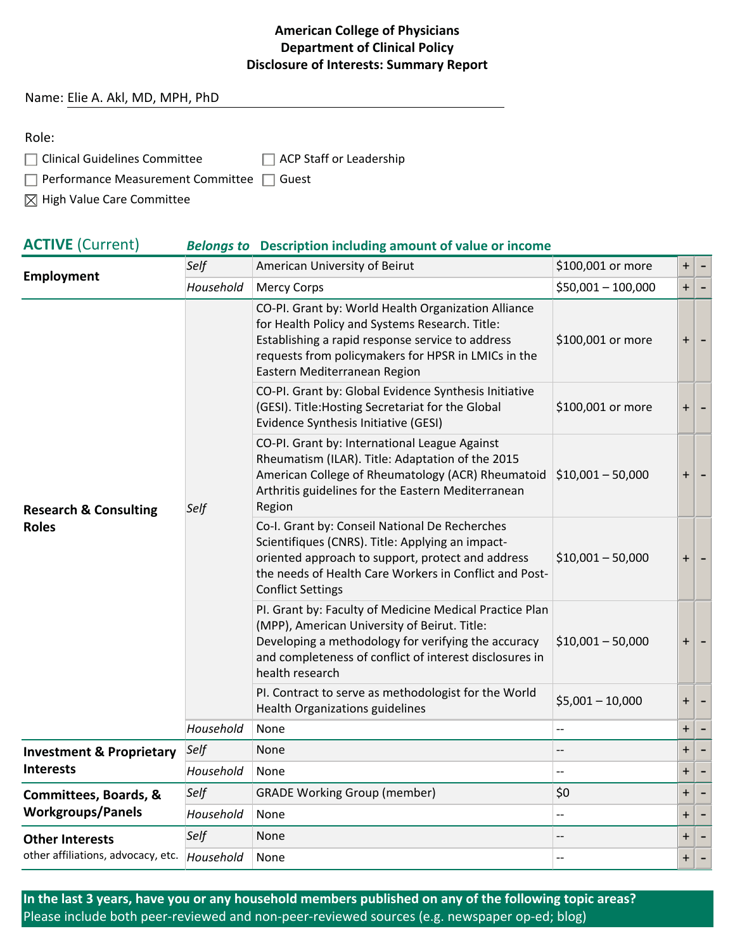#### Name: Elie A. Akl, MD, MPH, PhD

| ۰.<br>× | ۰. |
|---------|----|
|         |    |

 $\Box$  Clinical Guidelines Committee  $\Box$  ACP Staff or Leadership

 $\Box$  Performance Measurement Committee  $\Box$  Guest

 $\boxtimes$  High Value Care Committee

#### **ACTIVE** (Current) *Belongs to* **Description including amount of value or income**

| Employment                          | Self      | American University of Beirut                                                                                                                                                                                                                    | \$100,001 or more   | $\pm$      |  |
|-------------------------------------|-----------|--------------------------------------------------------------------------------------------------------------------------------------------------------------------------------------------------------------------------------------------------|---------------------|------------|--|
|                                     | Household | <b>Mercy Corps</b>                                                                                                                                                                                                                               | $$50,001 - 100,000$ | $\pm$      |  |
|                                     |           | CO-PI. Grant by: World Health Organization Alliance<br>for Health Policy and Systems Research. Title:<br>Establishing a rapid response service to address<br>requests from policymakers for HPSR in LMICs in the<br>Eastern Mediterranean Region | \$100,001 or more   | $\pm$      |  |
|                                     |           | CO-PI. Grant by: Global Evidence Synthesis Initiative<br>(GESI). Title: Hosting Secretariat for the Global<br>Evidence Synthesis Initiative (GESI)                                                                                               | \$100,001 or more   | $\ddot{}$  |  |
| <b>Research &amp; Consulting</b>    | Self      | CO-PI. Grant by: International League Against<br>Rheumatism (ILAR). Title: Adaptation of the 2015<br>American College of Rheumatology (ACR) Rheumatoid<br>Arthritis guidelines for the Eastern Mediterranean<br>Region                           | $$10,001 - 50,000$  | $\ddag$    |  |
| <b>Roles</b>                        |           | Co-I. Grant by: Conseil National De Recherches<br>Scientifiques (CNRS). Title: Applying an impact-<br>oriented approach to support, protect and address<br>the needs of Health Care Workers in Conflict and Post-<br><b>Conflict Settings</b>    | $$10,001 - 50,000$  | $\pm$      |  |
|                                     |           | PI. Grant by: Faculty of Medicine Medical Practice Plan<br>(MPP), American University of Beirut. Title:<br>Developing a methodology for verifying the accuracy<br>and completeness of conflict of interest disclosures in<br>health research     | $$10,001 - 50,000$  | $\ddagger$ |  |
|                                     |           | PI. Contract to serve as methodologist for the World<br>Health Organizations guidelines                                                                                                                                                          | $$5,001 - 10,000$   | $\pm$      |  |
|                                     | Household | None                                                                                                                                                                                                                                             | $-$                 | $\ddag$    |  |
| <b>Investment &amp; Proprietary</b> | Self      | None                                                                                                                                                                                                                                             | --                  | $\pm$      |  |
| <b>Interests</b>                    | Household | None                                                                                                                                                                                                                                             | $-$                 | $\pm$      |  |
| Committees, Boards, &               | Self      | <b>GRADE Working Group (member)</b>                                                                                                                                                                                                              | \$0                 | $+$        |  |
| <b>Workgroups/Panels</b>            | Household | None                                                                                                                                                                                                                                             | --                  | $\pm$      |  |
| <b>Other Interests</b>              | Self      | None                                                                                                                                                                                                                                             | --                  | $\pm$      |  |
| other affiliations, advocacy, etc.  | Household | None                                                                                                                                                                                                                                             | $-$                 | $\ddag$    |  |

**In the last 3 years, have you or any household members published on any of the following topic areas?**  Please include both peer-reviewed and non-peer-reviewed sources (e.g. newspaper op-ed; blog)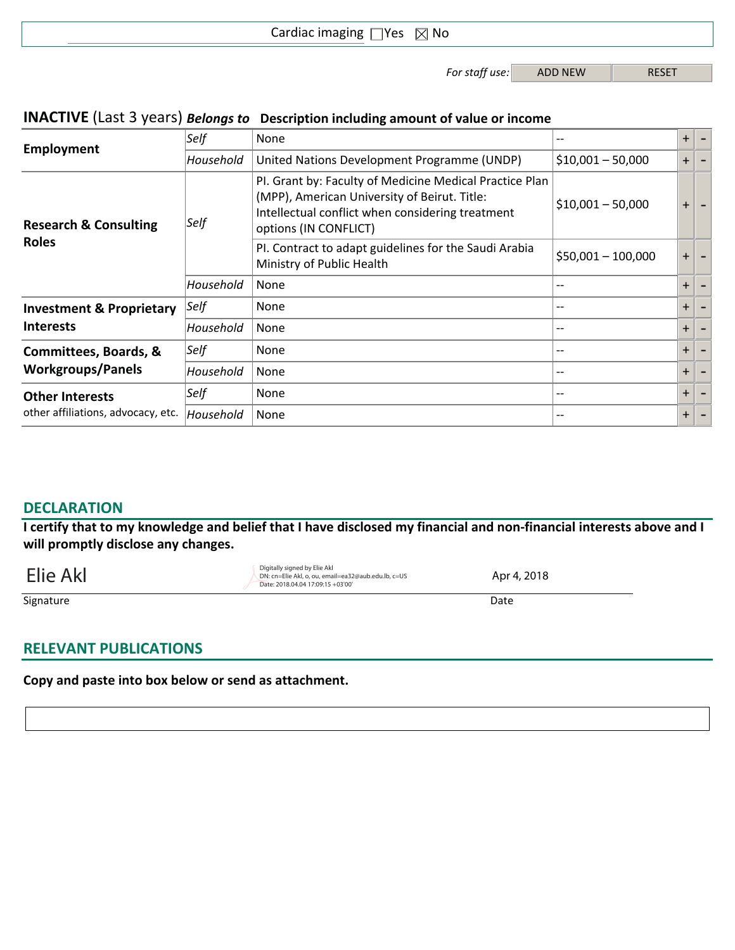#### Cardiac imaging  $\Box$  Yes  $\boxtimes$  No

For staff use: ADD NEW RESET

# **INACTIVE** (Last 3 years) *Belongs to* **Description including amount of value or income**

|                                                         | Self      | None                                                                                                                                                                                 | --                                    | $+$       |  |
|---------------------------------------------------------|-----------|--------------------------------------------------------------------------------------------------------------------------------------------------------------------------------------|---------------------------------------|-----------|--|
| Employment                                              | Household | United Nations Development Programme (UNDP)                                                                                                                                          | $$10,001 - 50,000$                    | $+$       |  |
| <b>Research &amp; Consulting</b><br><b>Roles</b>        | Self      | PI. Grant by: Faculty of Medicine Medical Practice Plan<br>(MPP), American University of Beirut. Title:<br>Intellectual conflict when considering treatment<br>options (IN CONFLICT) | $$10,001 - 50,000$                    | $+$       |  |
|                                                         |           | PI. Contract to adapt guidelines for the Saudi Arabia<br>Ministry of Public Health                                                                                                   | $$50,001 - 100,000$                   | $+$       |  |
|                                                         | Household | None                                                                                                                                                                                 | --                                    | $+$       |  |
| <b>Investment &amp; Proprietary</b><br><b>Interests</b> | Self      | None                                                                                                                                                                                 | --                                    | $\pm$     |  |
|                                                         | Household | None                                                                                                                                                                                 | $\hspace{0.05cm}$ – $\hspace{0.05cm}$ | $+$       |  |
| <b>Committees, Boards, &amp;</b>                        | Self      | None                                                                                                                                                                                 | --                                    | $+$       |  |
| <b>Workgroups/Panels</b>                                | Household | None                                                                                                                                                                                 | --                                    | $\ddot{}$ |  |
| <b>Other Interests</b>                                  | Self      | None                                                                                                                                                                                 | $-\, -$                               | $+$       |  |
| other affiliations, advocacy, etc.                      | Household | None                                                                                                                                                                                 | --                                    | $\pm$     |  |
|                                                         |           |                                                                                                                                                                                      |                                       |           |  |

## **DECLARATION**

**I certify that to my knowledge and belief that I have disclosed my financial and non-financial interests above and I will promptly disclose any changes.** 

| Elie Akl  | Digitally signed by Elie Akl<br>DN: cn=Elie Akl, o, ou, email=ea32@aub.edu.lb, c=US<br>Date: 2018.04.04 17:09:15 +03'00' | Apr 4, 2018 |
|-----------|--------------------------------------------------------------------------------------------------------------------------|-------------|
| Signature |                                                                                                                          | Date        |

# **RELEVANT PUBLICATIONS**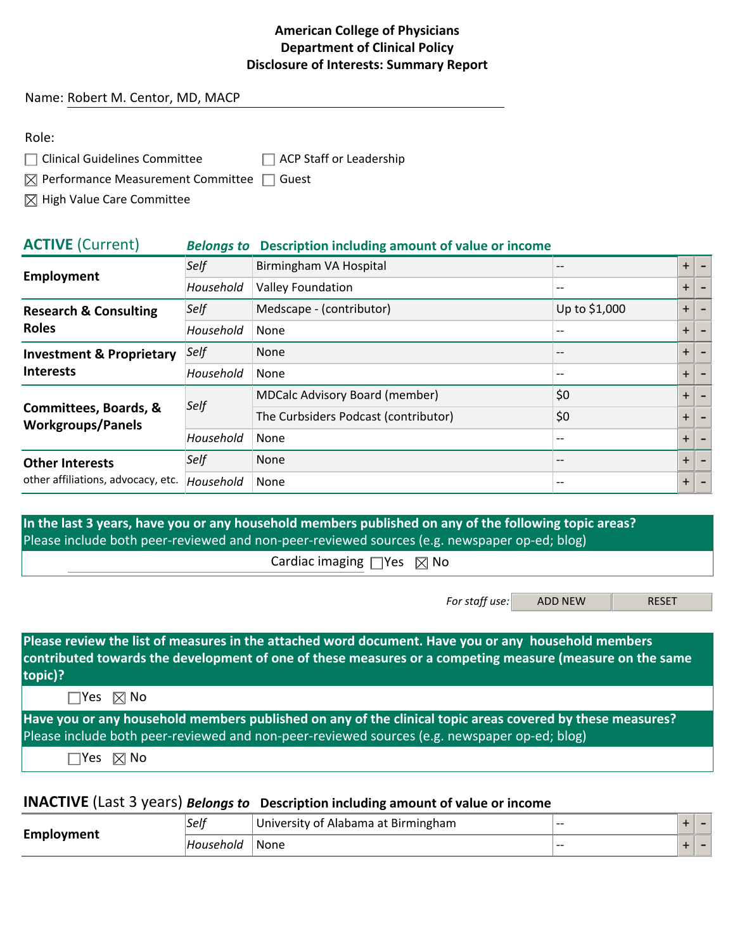#### Name: Robert M. Centor, MD, MACP

 $\Box$  Clinical Guidelines Committee  $\Box$  ACP Staff or Leadership

 $\boxtimes$  Performance Measurement Committee  $\Box$  Guest

 $\boxtimes$  High Value Care Committee

#### **ACTIVE** (Current) *Belongs to* **Description including amount of value or income Employment** *Self* Birmingham VA Hospital **--** + + -*Household* Valley Foundation -- + - **Research & Consulting Roles Self** Medscape - (contributor) Up to \$1,000 + *Household* None  $+$  -  $-$  +  $-$ **Investment & Proprietary Interests Self** None  $+$  -  $-$  +  $-$  +  $-$

| <b>Interests</b>                                             | Household | None                                  | $- -$ | $+$       |  |
|--------------------------------------------------------------|-----------|---------------------------------------|-------|-----------|--|
| <b>Committees, Boards, &amp;</b><br><b>Workgroups/Panels</b> | Self      | <b>MDCalc Advisory Board (member)</b> | \$0   |           |  |
|                                                              |           | The Curbsiders Podcast (contributor)  | \$0   |           |  |
|                                                              | Household | None                                  | --    | $+$       |  |
| <b>Other Interests</b>                                       | Self      | <b>None</b>                           |       | $\ddot{}$ |  |
| other affiliations, advocacy, etc.   Household               |           | None                                  |       |           |  |

**In the last 3 years, have you or any household members published on any of the following topic areas?**  Please include both peer-reviewed and non-peer-reviewed sources (e.g. newspaper op-ed; blog)

Cardiac imaging  $\Box$  Yes  $\boxtimes$  No

*For staff use:* ADD NEW RESET

**Please review the list of measures in the attached word document. Have you or any household members contributed towards the development of one of these measures or a competing measure (measure on the same topic)?**

 $\Box$ Yes  $\boxtimes$  No

**Have you or any household members published on any of the clinical topic areas covered by these measures?**  Please include both peer-reviewed and non-peer-reviewed sources (e.g. newspaper op-ed; blog)

 $\square$ Yes  $\square$  No

| Emp      | Self      | 'Jniversity of Alabama at Birmingham | -- |  |  |
|----------|-----------|--------------------------------------|----|--|--|
| วIovment | Househola | None                                 | -- |  |  |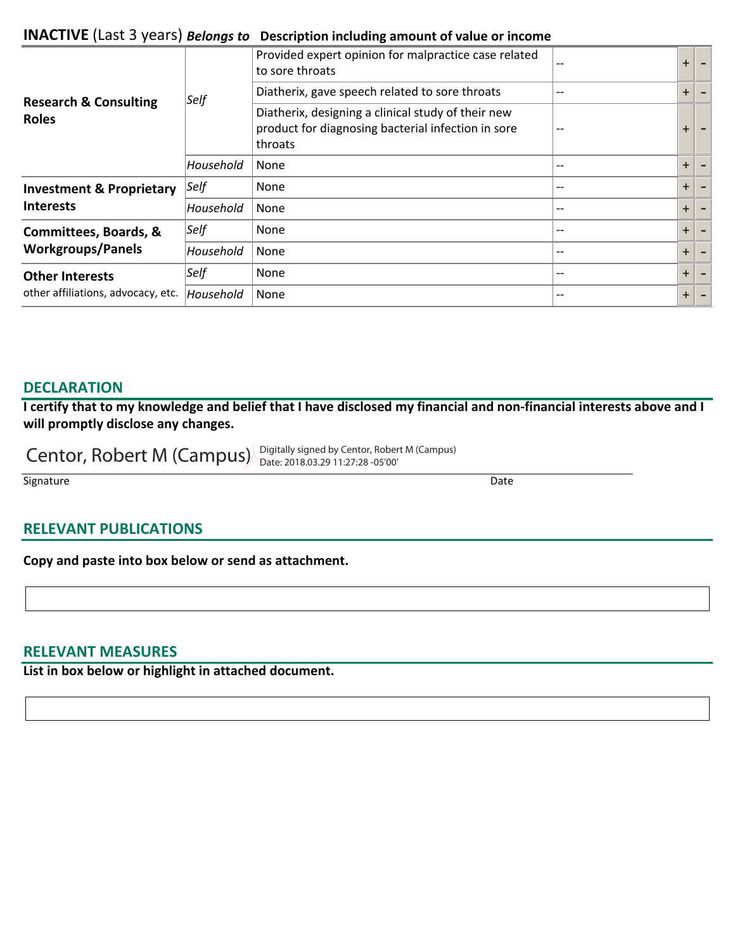| <b>Research &amp; Consulting</b>                        |           | Provided expert opinion for malpractice case related<br>to sore throats                                             | $- -$             | $+$ |  |
|---------------------------------------------------------|-----------|---------------------------------------------------------------------------------------------------------------------|-------------------|-----|--|
|                                                         | Self      | Diatherix, gave speech related to sore throats                                                                      | $\qquad \qquad -$ | $+$ |  |
| <b>Roles</b>                                            |           | Diatherix, designing a clinical study of their new<br>product for diagnosing bacterial infection in sore<br>throats | $\qquad \qquad -$ | $+$ |  |
|                                                         | Household | None                                                                                                                | $\qquad \qquad -$ | $+$ |  |
| <b>Investment &amp; Proprietary</b><br><b>Interests</b> | Self      | None                                                                                                                | $- -$             | $+$ |  |
|                                                         | Household | <b>None</b>                                                                                                         | $\qquad \qquad -$ | $+$ |  |
| <b>Committees, Boards, &amp;</b>                        | Self      | None                                                                                                                | $- -$             | $+$ |  |
| <b>Workgroups/Panels</b>                                | Household | None                                                                                                                | $\qquad \qquad -$ | $+$ |  |
| <b>Other Interests</b>                                  | Self      | <b>None</b>                                                                                                         | $- -$             | $+$ |  |
| other affiliations, advocacy, etc.                      | Household | None                                                                                                                | --                | $+$ |  |

#### **DECLARATION**

**I certify that to my knowledge and belief that I have disclosed my financial and non-financial interests above and I will promptly disclose any changes.** 

Centor, Robert M (Campus)  $\rho_{\text{Date: 2018.03.29 11:27:28 -05'00'}}$ 

Signature Date Date of the Date of the Date of the Date of the Date of the Date of the Date of the Date of the

#### **RELEVANT PUBLICATIONS**

**Copy and paste into box below or send as attachment.**

#### **RELEVANT MEASURES**

**List in box below or highlight in attached document.**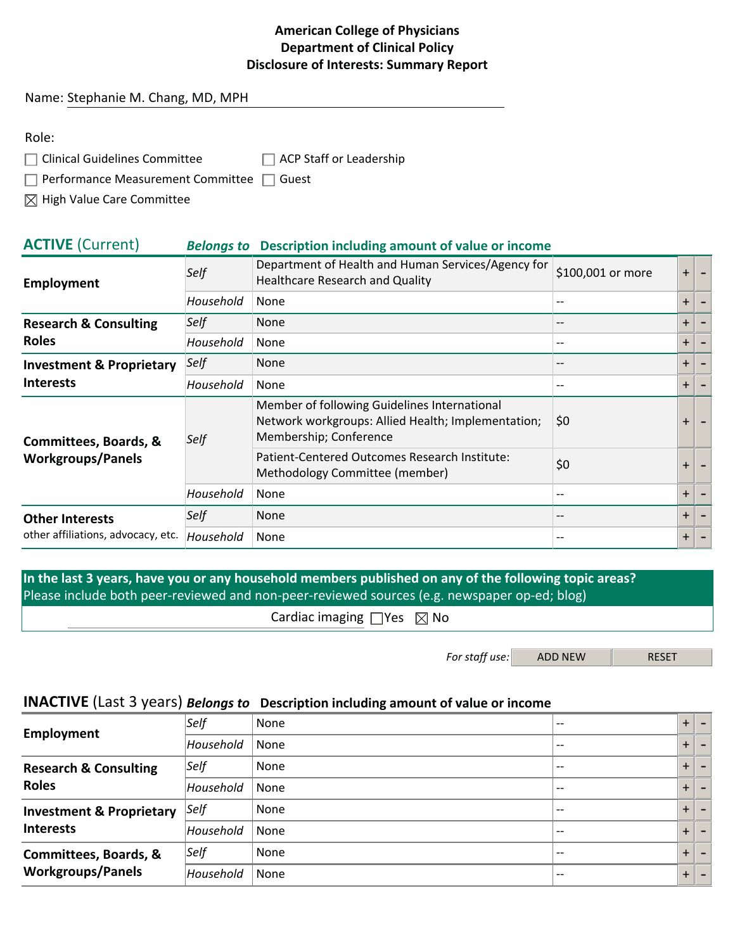#### Name: Stephanie M. Chang, MD, MPH

| Role:                                                 |                                |
|-------------------------------------------------------|--------------------------------|
| $\Box$ Clinical Guidelines Committee                  | $\Box$ ACP Staff or Leadership |
| $\Box$ Performance Measurement Committee $\Box$ Guest |                                |

 $\boxtimes$  High Value Care Committee

| <b>ACTIVE (Current)</b>                                 | <b>Belongs to</b> | Description including amount of value or income                                                                              |                   |           |  |
|---------------------------------------------------------|-------------------|------------------------------------------------------------------------------------------------------------------------------|-------------------|-----------|--|
| Employment                                              | Self              | Department of Health and Human Services/Agency for<br>Healthcare Research and Quality                                        | \$100,001 or more | $+$       |  |
|                                                         | Household         | None                                                                                                                         |                   | $+$       |  |
| <b>Research &amp; Consulting</b>                        | Self              | <b>None</b>                                                                                                                  |                   | $+$       |  |
| <b>Roles</b>                                            | Household         | None                                                                                                                         |                   | $\ddot{}$ |  |
| <b>Investment &amp; Proprietary</b><br><b>Interests</b> | Self              | <b>None</b>                                                                                                                  |                   | $+$       |  |
|                                                         | Household         | <b>None</b>                                                                                                                  |                   | $+$       |  |
| Committees, Boards, &<br><b>Workgroups/Panels</b>       | Self              | Member of following Guidelines International<br>Network workgroups: Allied Health; Implementation;<br>Membership; Conference | \$0               | $\ddot{}$ |  |
|                                                         |                   | Patient-Centered Outcomes Research Institute:<br>Methodology Committee (member)                                              | \$0               | $\ddot{}$ |  |
|                                                         | Household         | None                                                                                                                         |                   | $+$       |  |
| <b>Other Interests</b>                                  | Self              | <b>None</b>                                                                                                                  |                   | $+$       |  |
| other affiliations, advocacy, etc.                      | Household         | None                                                                                                                         |                   | $+$       |  |

**In the last 3 years, have you or any household members published on any of the following topic areas?**  Please include both peer-reviewed and non-peer-reviewed sources (e.g. newspaper op-ed; blog)

Cardiac imaging  $\Box$  Yes  $\boxtimes$  No

For staff use: ADD NEW RESET

| Employment                                       | Self      | <b>None</b> | $\hspace{0.05cm}$ – $\hspace{0.05cm}$ | $+$ |  |
|--------------------------------------------------|-----------|-------------|---------------------------------------|-----|--|
|                                                  | Household | <b>None</b> | $\hspace{0.05cm}$ – $\hspace{0.05cm}$ | $+$ |  |
| <b>Research &amp; Consulting</b><br><b>Roles</b> | Self      | <b>None</b> | $\hspace{0.05cm}$ – $\hspace{0.05cm}$ | $+$ |  |
|                                                  | Household | <b>None</b> | $- -$                                 | $+$ |  |
| <b>Investment &amp; Proprietary</b>              | Self      | <b>None</b> | $\overline{\phantom{m}}$              | $+$ |  |
| <b>Interests</b>                                 | Household | <b>None</b> | $\hspace{0.05cm}$ – $\hspace{0.05cm}$ | $+$ |  |
| Committees, Boards, &                            | Self      | <b>None</b> | $\overline{\phantom{m}}$              | $+$ |  |
| <b>Workgroups/Panels</b>                         | Household | <b>None</b> | $\hspace{0.05cm}$ – $\hspace{0.05cm}$ | $+$ |  |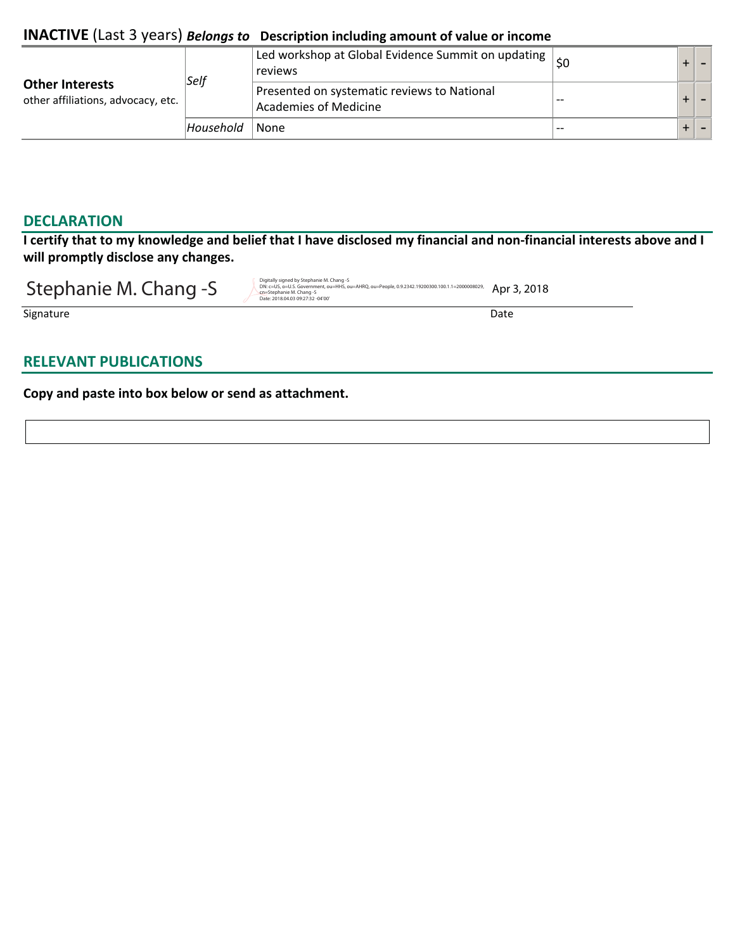| <b>Other Interests</b><br>other affiliations, advocacy, etc. | Self      | Led workshop at Global Evidence Summit on updating $ _{50}$<br>reviews      |       |  |
|--------------------------------------------------------------|-----------|-----------------------------------------------------------------------------|-------|--|
|                                                              |           | Presented on systematic reviews to National<br><b>Academies of Medicine</b> | $- -$ |  |
|                                                              | Household | 'None                                                                       | $- -$ |  |

# **DECLARATION**

**I certify that to my knowledge and belief that I have disclosed my financial and non-financial interests above and I will promptly disclose any changes.** 

| Stephanie M. Chang -S |  |  |
|-----------------------|--|--|
|                       |  |  |

 $Step 12.2002002029.$  Apr 3, 2018

Signature Date Date of the State of the State of the State of the Date of the Date of the Date of the Date of the Date of the Date of the Date of the Date of the Date of the Date of the Date of the Date of the Date of the

# **RELEVANT PUBLICATIONS**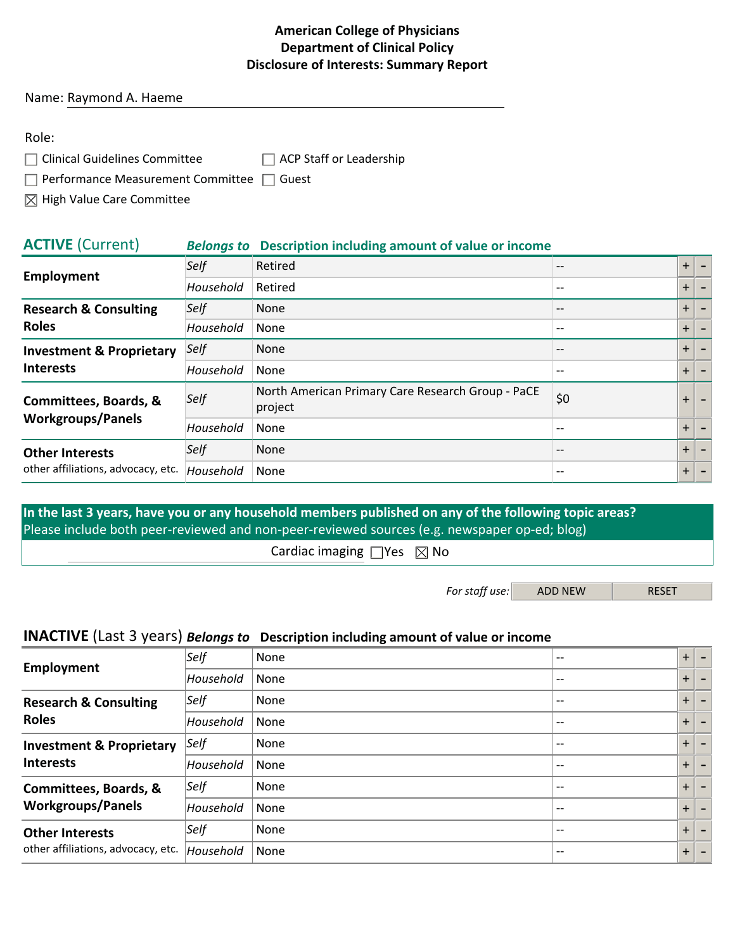#### Name: Raymond A. Haeme

| Role:                                                 |                                |
|-------------------------------------------------------|--------------------------------|
| $\Box$ Clinical Guidelines Committee                  | $\Box$ ACP Staff or Leadership |
| $\Box$ Performance Measurement Committee $\Box$ Guest |                                |

 $\boxtimes$  High Value Care Committee

#### **ACTIVE** (Current) *Belongs to* **Description including amount of value or income Employment** *Self* Retired -- <sup>+</sup> - *Household* Retired -- + - **Research & Consulting Roles Self** None  $\begin{array}{|c|c|c|c|c|}\n\hline\n\text{---}\n\end{array}$ *Household* None  $+$  -  $-$  +  $-$ **Investment & Proprietary Interests** *Self* None -- + - *Household* None  $\begin{array}{|c|c|c|c|}\hline \text{+} & - & \text{+} & + \end{array}$ **Committees, Boards, & Workgroups/Panels** *Self* North American Primary Care Research Group - PaCE  $\begin{vmatrix} 50 \\ 50 \end{vmatrix}$  + -*Household* None  $+$  -  $-$  +  $-$ **Other Interests**  other affiliations, advocacy, etc. | Household **Self** None  $+$  -  $-$  +  $-$  +  $-$  +  $-$  +  $-$  +  $-$  +  $-$  +  $-$  +  $-$  +  $-$  +  $-$  +  $-$  +  $-$  +  $-$  +  $-$  +  $-$  +  $-$  +  $-$  +  $-$  +  $-$  +  $-$  +  $-$  +  $-$  +  $-$  +  $-$  +  $-$  +  $-$  +  $-$  +  $-$  +  $-$  +  $-$  +  $-$  +  $-$  +  $-$  + *Household* None  $+$  -  $-$  +  $-$

**In the last 3 years, have you or any household members published on any of the following topic areas?**  Please include both peer-reviewed and non-peer-reviewed sources (e.g. newspaper op-ed; blog)

Cardiac imaging  $\Box$  Yes  $\boxtimes$  No

*For staff use:* ADD NEW RESET

|                                                              | Self      | None | $- -$ | $+$ |  |
|--------------------------------------------------------------|-----------|------|-------|-----|--|
| Employment                                                   | Household | None | $- -$ | $+$ |  |
| <b>Research &amp; Consulting</b>                             | Self      | None | $- -$ | $+$ |  |
| <b>Roles</b>                                                 | Household | None | $- -$ | $+$ |  |
| <b>Investment &amp; Proprietary</b>                          | Self      | None | $- -$ | $+$ |  |
| <b>Interests</b>                                             | Household | None | $- -$ | $+$ |  |
| <b>Committees, Boards, &amp;</b>                             | Self      | None | $- -$ | $+$ |  |
| <b>Workgroups/Panels</b>                                     | Household | None | $- -$ | $+$ |  |
| <b>Other Interests</b><br>other affiliations, advocacy, etc. | Self      | None | --    | $+$ |  |
|                                                              | Household | None | $- -$ | $+$ |  |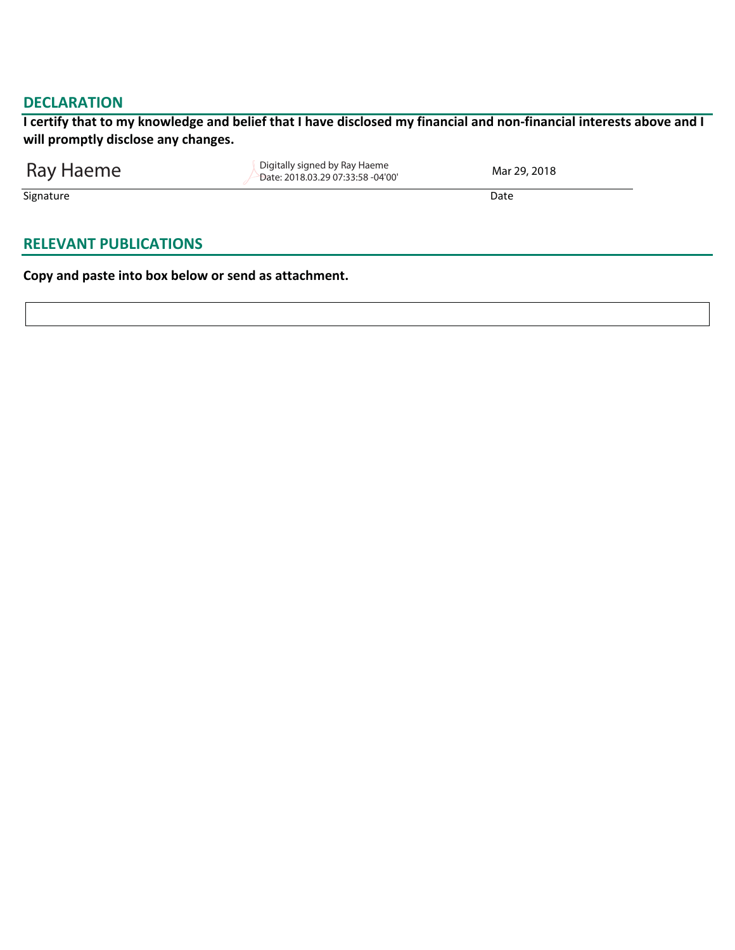# **DECLARATION**

**I certify that to my knowledge and belief that I have disclosed my financial and non-financial interests above and I will promptly disclose any changes.** 

| Ray Haeme | Digitally signed by Ray Haeme<br>Date: 2018.03.29 07:33:58 -04'00' | Mar 29, 2018 |  |
|-----------|--------------------------------------------------------------------|--------------|--|
| Signature |                                                                    | Date         |  |

# **RELEVANT PUBLICATIONS**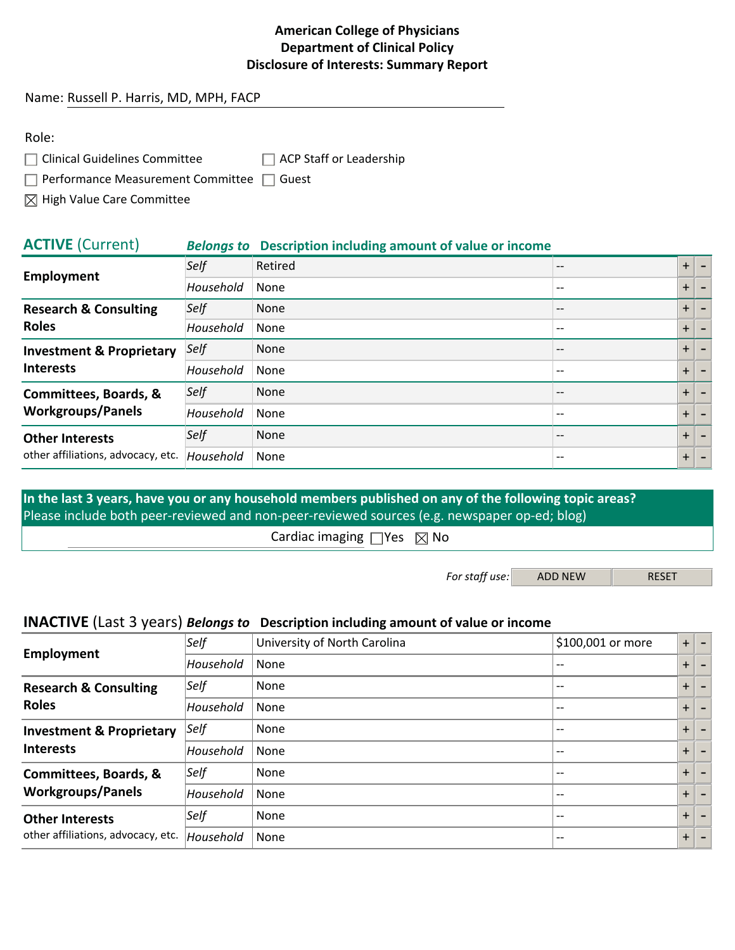#### Name: Russell P. Harris, MD, MPH, FACP

| Role:                                                 |                                |
|-------------------------------------------------------|--------------------------------|
| $\Box$ Clinical Guidelines Committee                  | $\Box$ ACP Staff or Leadership |
| $\Box$ Performance Measurement Committee $\Box$ Guest |                                |

 $\boxtimes$  High Value Care Committee

| <b>ACTIVE (Current)</b>                                      |           | <b>Belongs to</b> Description including amount of value or income |                   |           |  |
|--------------------------------------------------------------|-----------|-------------------------------------------------------------------|-------------------|-----------|--|
|                                                              | Self      | Retired                                                           | $\qquad \qquad -$ | $\ddot{}$ |  |
| Employment                                                   | Household | None                                                              | $- -$             | $+$       |  |
| <b>Research &amp; Consulting</b>                             | Self      | <b>None</b>                                                       | $- -$             | $\pm$     |  |
| <b>Roles</b>                                                 | Household | None                                                              | $- -$             | $\ddot{}$ |  |
| <b>Investment &amp; Proprietary</b><br><b>Interests</b>      | Self      | None                                                              | $\qquad \qquad -$ | $+$       |  |
|                                                              | Household | None                                                              | $\qquad \qquad -$ | $+$       |  |
| <b>Committees, Boards, &amp;</b>                             | Self      | None                                                              | $\qquad \qquad -$ | $+$       |  |
| <b>Workgroups/Panels</b>                                     | Household | None                                                              | $\qquad \qquad -$ | $+$       |  |
| <b>Other Interests</b><br>other affiliations, advocacy, etc. | Self      | None                                                              | $\qquad \qquad -$ | $+$       |  |
|                                                              | Household | None                                                              | $- -$             | $+$       |  |

**In the last 3 years, have you or any household members published on any of the following topic areas?**  Please include both peer-reviewed and non-peer-reviewed sources (e.g. newspaper op-ed; blog)

Cardiac imaging  $\Box$  Yes  $\boxtimes$  No

*For staff use:* ADD NEW RESET

| Employment                                                   | Self      | University of North Carolina | \$100,001 or more | $+$ |  |
|--------------------------------------------------------------|-----------|------------------------------|-------------------|-----|--|
|                                                              | Household | None                         | --                | $+$ |  |
| <b>Research &amp; Consulting</b>                             | Self      | None                         | --                | $+$ |  |
| <b>Roles</b>                                                 | Household | None                         | --                | $+$ |  |
| <b>Investment &amp; Proprietary</b>                          | Self      | None                         | $\qquad \qquad -$ | $+$ |  |
| <b>Interests</b>                                             | Household | None                         | --                | $+$ |  |
| <b>Committees, Boards, &amp;</b>                             | Self      | None                         | --                | $+$ |  |
| <b>Workgroups/Panels</b>                                     | Household | None                         | --                | $+$ |  |
| <b>Other Interests</b><br>other affiliations, advocacy, etc. | Self      | None                         | --                | $+$ |  |
|                                                              | Household | None                         | --                | $+$ |  |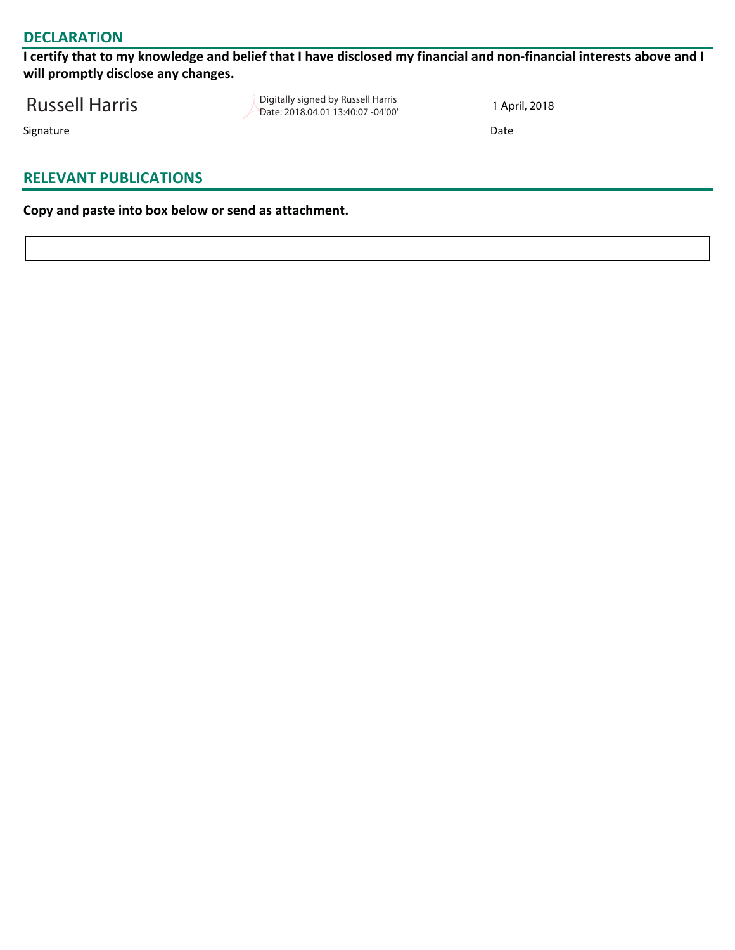## **DECLARATION**

**I certify that to my knowledge and belief that I have disclosed my financial and non-financial interests above and I will promptly disclose any changes.** 

| <b>Russell Harris</b> | Digitally signed by Russell Harris<br>Date: 2018.04.01 13:40:07 -04'00' | 1 April, 2018 |
|-----------------------|-------------------------------------------------------------------------|---------------|
| Signature             |                                                                         | Date          |

# **RELEVANT PUBLICATIONS**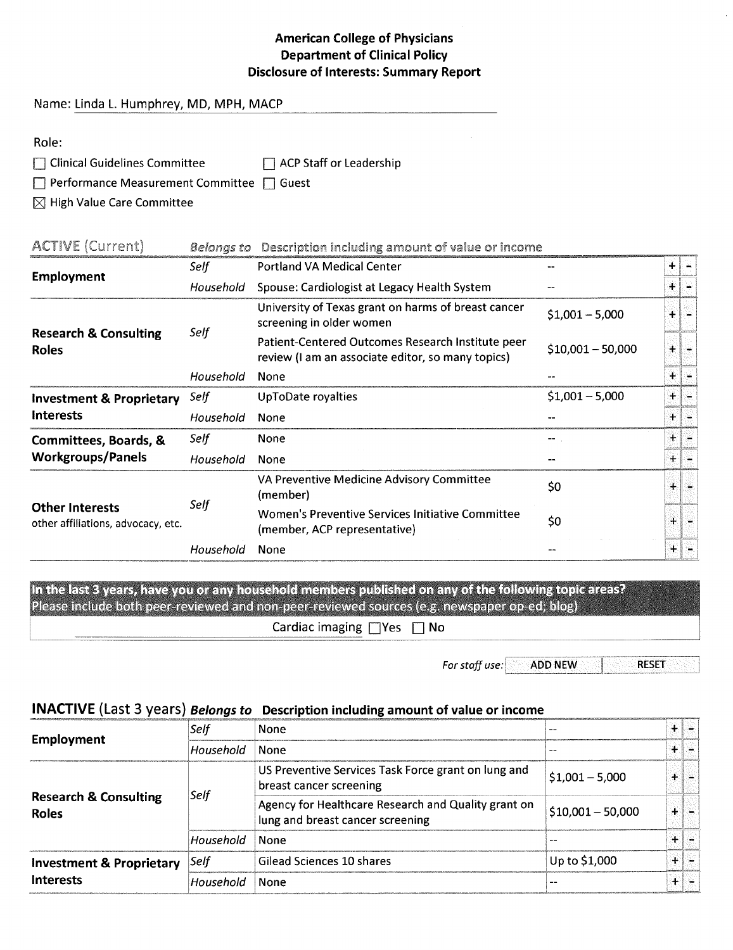#### Name: Linda L. Humphrey, MD, MPH, MACP

| Role:                                                 |                                |
|-------------------------------------------------------|--------------------------------|
| $\Box$ Clinical Guidelines Committee                  | $\Box$ ACP Staff or Leadership |
| $\Box$ Performance Measurement Committee $\Box$ Guest |                                |

 $\boxtimes$  High Value Care Committee

| <b>ACTIVE</b> (Current)                                      |           | Belongs to Description including amount of value or income                                             |                    |           |  |
|--------------------------------------------------------------|-----------|--------------------------------------------------------------------------------------------------------|--------------------|-----------|--|
|                                                              | Self      | <b>Portland VA Medical Center</b>                                                                      |                    | 4         |  |
| <b>Employment</b>                                            | Household | Spouse: Cardiologist at Legacy Health System                                                           |                    | $\ddot{}$ |  |
| <b>Research &amp; Consulting</b><br><b>Roles</b>             |           | University of Texas grant on harms of breast cancer<br>screening in older women                        | $$1,001 - 5,000$   | $\ddot{}$ |  |
|                                                              | Self      | Patient-Centered Outcomes Research Institute peer<br>review (I am an associate editor, so many topics) | $$10,001 - 50,000$ | $\ddot{}$ |  |
|                                                              | Household | <b>None</b>                                                                                            |                    | $\ddot{}$ |  |
| <b>Investment &amp; Proprietary</b>                          | Self      | UpToDate royalties                                                                                     | $$1,001 - 5,000$   | $\ddot{}$ |  |
| <b>Interests</b>                                             | Household | None                                                                                                   |                    | $\ddot{}$ |  |
| Committees, Boards, &                                        | Self      | None                                                                                                   |                    | $\ddot{}$ |  |
| <b>Workgroups/Panels</b>                                     | Household | None                                                                                                   |                    | $+$       |  |
| <b>Other Interests</b><br>other affiliations, advocacy, etc. |           | VA Preventive Medicine Advisory Committee<br>(member)                                                  | \$0                |           |  |
|                                                              | Self      | Women's Preventive Services Initiative Committee<br>(member, ACP representative)                       | \$0                |           |  |
|                                                              | Household | None                                                                                                   |                    | $\ddot{}$ |  |

In the last 3 years, have you or any household members published on any of the following topic areas? Please include both peer-reviewed and non-peer-reviewed sources (e.g. newspaper op-ed; blog)

Cardiac imaging □Yes □ No

**RESET** For staff use: **ADD NEW** 

| <b>Employment</b>                                | Self       | None                                                                                    |                    |  |  |
|--------------------------------------------------|------------|-----------------------------------------------------------------------------------------|--------------------|--|--|
|                                                  | Household  | None                                                                                    | --                 |  |  |
| <b>Research &amp; Consulting</b><br><b>Roles</b> | Self       | US Preventive Services Task Force grant on lung and<br>breast cancer screening          | $$1,001 - 5,000$   |  |  |
|                                                  |            | Agency for Healthcare Research and Quality grant on<br>lung and breast cancer screening | $$10,001 - 50,000$ |  |  |
|                                                  | 'Household | <b>None</b>                                                                             | $-$                |  |  |
| <b>Investment &amp; Proprietary</b>              | Self       | Gilead Sciences 10 shares                                                               | Up to \$1,000      |  |  |
| <b>Interests</b>                                 | Household  | None                                                                                    | $- -$              |  |  |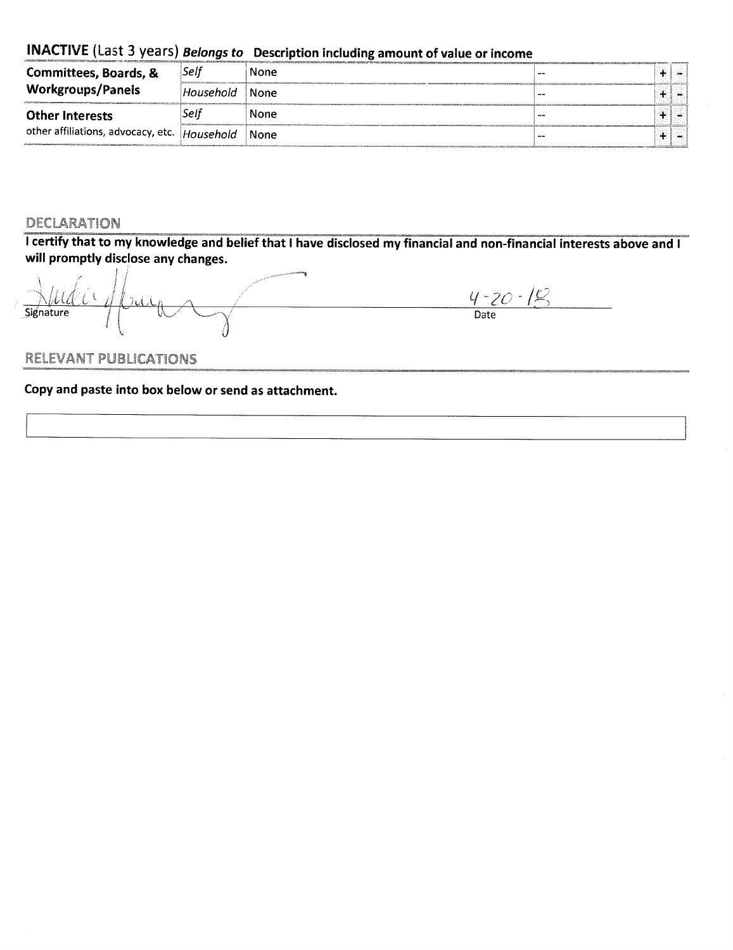| <b>Committees, Boards, &amp;</b>             | Self       | None | --    |  |  |
|----------------------------------------------|------------|------|-------|--|--|
| <b>Workgroups/Panels</b>                     | 'Household | None | --    |  |  |
| <b>Other Interests</b>                       | Self       | None | ---   |  |  |
| other affiliations, advocacy, etc. Household |            | None | $- -$ |  |  |

#### DECLARATION

I certify that to my knowledge and belief that I have disclosed my financial and non-financial interests above and I will promptly disclose any changes.

 $\mathcal{L}$  $2dA_B$ Kanada (Kabupatén) Signature

 $\frac{4-20-10}{\text{Date}}$ 

**RELEVANT PUBLICATIONS**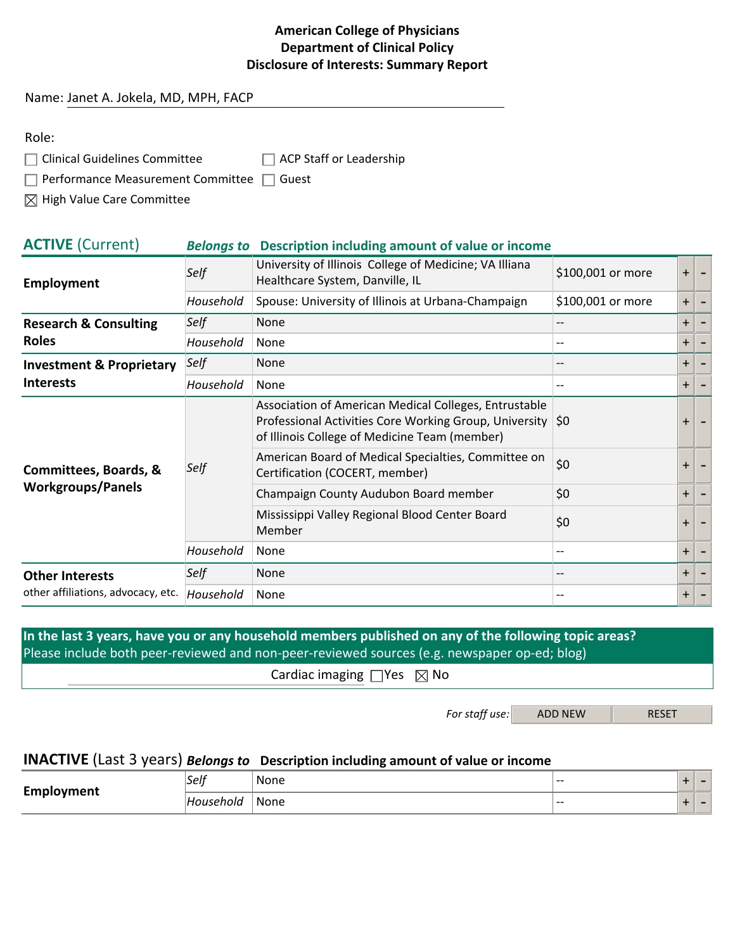#### Name: Janet A. Jokela, MD, MPH, FACP

| Role:                                                 |                                |
|-------------------------------------------------------|--------------------------------|
| $\Box$ Clinical Guidelines Committee                  | $\Box$ ACP Staff or Leadership |
| $\Box$ Performance Measurement Committee $\Box$ Guest |                                |

 $\boxtimes$  High Value Care Committee

| <b>ACTIVE (Current)</b>             | <b>Belongs to</b> | Description including amount of value or income                                                                                                                      |                   |           |  |
|-------------------------------------|-------------------|----------------------------------------------------------------------------------------------------------------------------------------------------------------------|-------------------|-----------|--|
| Employment                          | Self              | University of Illinois College of Medicine; VA Illiana<br>Healthcare System, Danville, IL                                                                            | \$100,001 or more | $\ddot{}$ |  |
|                                     | Household         | Spouse: University of Illinois at Urbana-Champaign                                                                                                                   | \$100,001 or more | $+$       |  |
| <b>Research &amp; Consulting</b>    | Self              | None                                                                                                                                                                 |                   | $+$       |  |
| <b>Roles</b>                        | Household         | None                                                                                                                                                                 |                   | $+$       |  |
| <b>Investment &amp; Proprietary</b> | Self              | <b>None</b>                                                                                                                                                          | --                | $+$       |  |
| <b>Interests</b>                    | Household         | None                                                                                                                                                                 | --                | $+$       |  |
|                                     |                   | Association of American Medical Colleges, Entrustable<br>Professional Activities Core Working Group, University \$0<br>of Illinois College of Medicine Team (member) |                   | $\ddot{}$ |  |
| Committees, Boards, &               | Self              | American Board of Medical Specialties, Committee on<br>Certification (COCERT, member)                                                                                | \$0               | $+$       |  |
| <b>Workgroups/Panels</b>            |                   | Champaign County Audubon Board member                                                                                                                                | \$0               | $+$       |  |
|                                     |                   | Mississippi Valley Regional Blood Center Board<br>Member                                                                                                             | \$0               | $\ddot{}$ |  |
|                                     | Household         | None                                                                                                                                                                 | --                | $+$       |  |
| <b>Other Interests</b>              | Self              | <b>None</b>                                                                                                                                                          | --                | $+$       |  |
| other affiliations, advocacy, etc.  | Household         | None                                                                                                                                                                 | --                | $+$       |  |

# **In the last 3 years, have you or any household members published on any of the following topic areas?**  Please include both peer-reviewed and non-peer-reviewed sources (e.g. newspaper op-ed; blog)

Cardiac imaging  $\Box$  Yes  $\boxtimes$  No

For staff use: ADD NEW RESET

| Empl<br>วvment | ۱۲مۍ<br>◡◡ | ' None<br>___ | . <b>.</b> |  |
|----------------|------------|---------------|------------|--|
|                | пок        | None          | .          |  |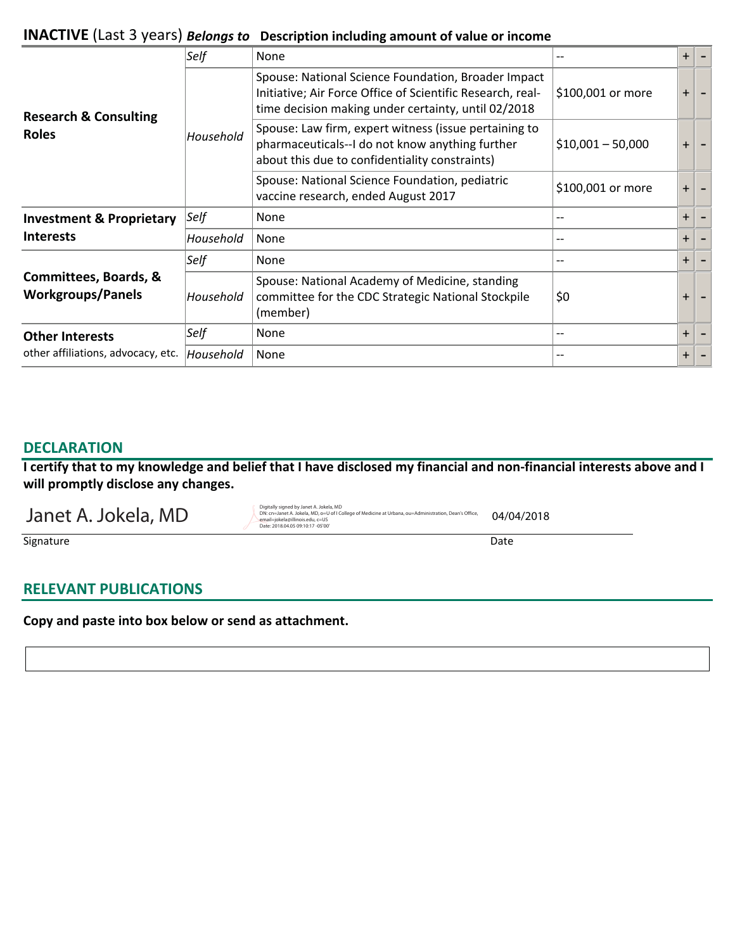|                                                         | Self      | None                                                                                                                                                                     |                    | $+$       |  |
|---------------------------------------------------------|-----------|--------------------------------------------------------------------------------------------------------------------------------------------------------------------------|--------------------|-----------|--|
| <b>Research &amp; Consulting</b><br><b>Roles</b>        |           | Spouse: National Science Foundation, Broader Impact<br>Initiative; Air Force Office of Scientific Research, real-<br>time decision making under certainty, until 02/2018 | \$100,001 or more  | $\pm$     |  |
|                                                         | Household | Spouse: Law firm, expert witness (issue pertaining to<br>pharmaceuticals--I do not know anything further<br>about this due to confidentiality constraints)               | $$10,001 - 50,000$ | $\pm$     |  |
|                                                         |           | Spouse: National Science Foundation, pediatric<br>vaccine research, ended August 2017                                                                                    | \$100,001 or more  | $\pm$     |  |
| <b>Investment &amp; Proprietary</b><br><b>Interests</b> | Self      | None                                                                                                                                                                     | --                 | $^+$      |  |
|                                                         | Household | None                                                                                                                                                                     | --                 | $^+$      |  |
| Committees, Boards, &<br><b>Workgroups/Panels</b>       | Self      | None                                                                                                                                                                     | --                 | $^+$      |  |
|                                                         | Household | Spouse: National Academy of Medicine, standing<br>committee for the CDC Strategic National Stockpile<br>(member)                                                         | \$0                | $\ddot{}$ |  |
| <b>Other Interests</b>                                  | Self      | None                                                                                                                                                                     | $- -$              | $+$       |  |
| other affiliations, advocacy, etc.                      | Household | None                                                                                                                                                                     | $- -$              | $\pm$     |  |
|                                                         |           |                                                                                                                                                                          |                    |           |  |

## **DECLARATION**

**I certify that to my knowledge and belief that I have disclosed my financial and non-financial interests above and I will promptly disclose any changes.** 

Janet A. Jokela, MD

04/04/2018 DN: cn=Janet A. Jokela, MD, o=U of I College of Medicine at Urbana, ou=Administration, Dean's Office,<br>email=jokela@illinois.edu, c=US<br>Date: 2018.04.05 09:10:17 -05'00'

Signature Date Date of the State of the State of the State of the Date of the Date of the Date of the Date of the Date of the Date of the Date of the Date of the Date of the Date of the Date of the Date of the Date of the

# **RELEVANT PUBLICATIONS**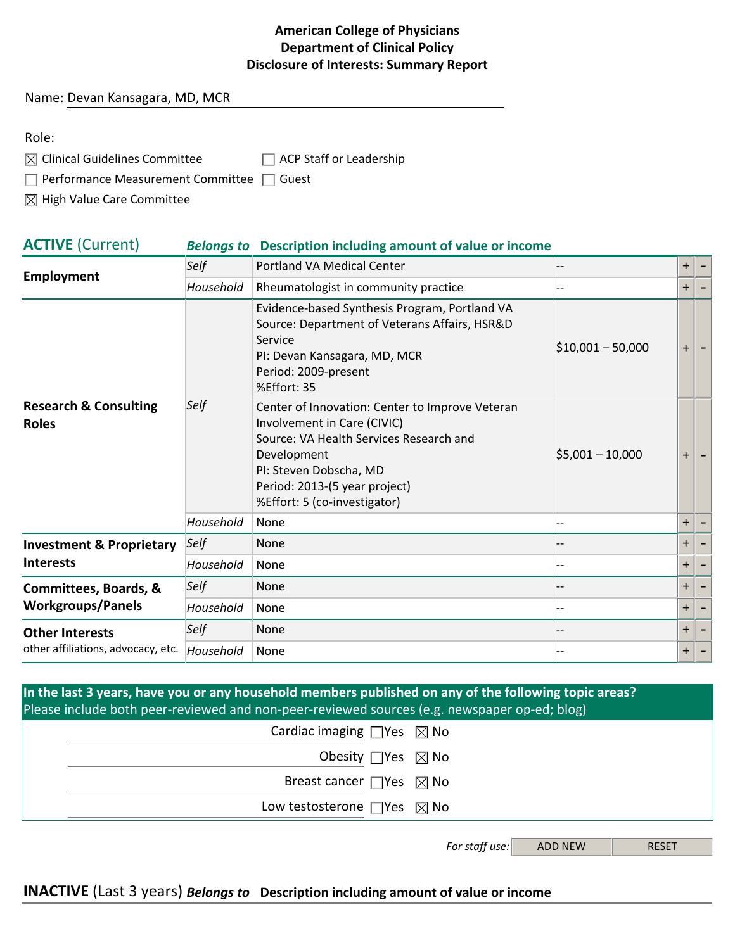#### Name: Devan Kansagara, MD, MCR

 $\boxtimes$  Clinical Guidelines Committee  $\Box$  ACP Staff or Leadership

 $\Box$  Performance Measurement Committee  $\Box$  Guest

 $\boxtimes$  High Value Care Committee

#### **ACTIVE** (Current) *Belongs to* **Description including amount of value or income**

|                                                  | Self      | Portland VA Medical Center                                                                                                                                                                                                          | $-$                | $\pm$ |  |
|--------------------------------------------------|-----------|-------------------------------------------------------------------------------------------------------------------------------------------------------------------------------------------------------------------------------------|--------------------|-------|--|
| Employment                                       | Household | Rheumatologist in community practice                                                                                                                                                                                                | $-$                | $+$   |  |
| <b>Research &amp; Consulting</b><br><b>Roles</b> |           | Evidence-based Synthesis Program, Portland VA<br>Source: Department of Veterans Affairs, HSR&D<br>Service<br>PI: Devan Kansagara, MD, MCR<br>Period: 2009-present<br>%Effort: 35                                                    | $$10,001 - 50,000$ | $\pm$ |  |
|                                                  | Self      | Center of Innovation: Center to Improve Veteran<br>Involvement in Care (CIVIC)<br>Source: VA Health Services Research and<br>Development<br>PI: Steven Dobscha, MD<br>Period: 2013-(5 year project)<br>%Effort: 5 (co-investigator) | $$5,001 - 10,000$  | $\pm$ |  |
|                                                  | Household | None                                                                                                                                                                                                                                | $-$                | $\pm$ |  |
| <b>Investment &amp; Proprietary</b>              | Self      | <b>None</b>                                                                                                                                                                                                                         | --                 | $\pm$ |  |
| <b>Interests</b>                                 | Household | None                                                                                                                                                                                                                                | $-$                | $+$   |  |
| <b>Committees, Boards, &amp;</b>                 | Self      | <b>None</b>                                                                                                                                                                                                                         | $-$                | $\pm$ |  |
| <b>Workgroups/Panels</b>                         | Household | None                                                                                                                                                                                                                                | $- -$              | $+$   |  |
| <b>Other Interests</b>                           | Self      | <b>None</b>                                                                                                                                                                                                                         | $\qquad \qquad -$  | $+$   |  |
| other affiliations, advocacy, etc.               | Household | None                                                                                                                                                                                                                                | $-$                | $+$   |  |

| In the last 3 years, have you or any household members published on any of the following topic areas?<br>Please include both peer-reviewed and non-peer-reviewed sources (e.g. newspaper op-ed; blog) |  |
|-------------------------------------------------------------------------------------------------------------------------------------------------------------------------------------------------------|--|
| Cardiac imaging $\Box$ Yes $\boxtimes$ No                                                                                                                                                             |  |
| Obesity $\Box$ Yes $\boxtimes$ No                                                                                                                                                                     |  |
| Breast cancer $\Box$ Yes $\boxtimes$ No                                                                                                                                                               |  |
| Low testosterone $\Box$ Yes $\boxtimes$ No                                                                                                                                                            |  |
|                                                                                                                                                                                                       |  |

*For staff use:* ADD NEW RESET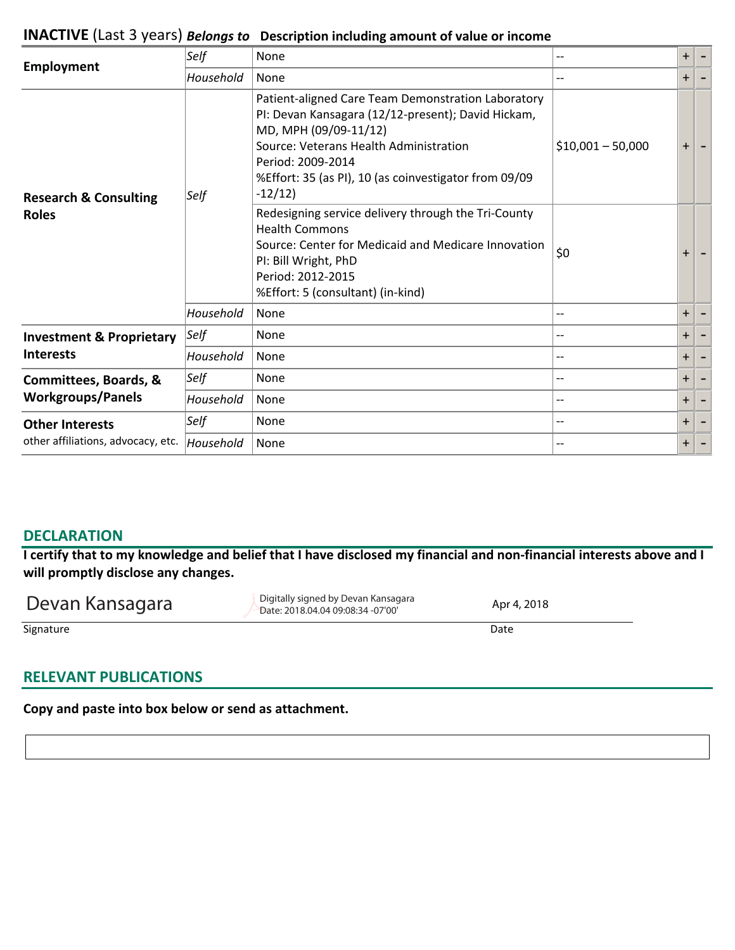|                                                  | Self      | None                                                                                                                                                                                                                                                                   | $-$                | $+$       |  |
|--------------------------------------------------|-----------|------------------------------------------------------------------------------------------------------------------------------------------------------------------------------------------------------------------------------------------------------------------------|--------------------|-----------|--|
| Employment                                       | Household | None                                                                                                                                                                                                                                                                   | $- -$              | $+$       |  |
| <b>Research &amp; Consulting</b><br><b>Roles</b> | Self      | Patient-aligned Care Team Demonstration Laboratory<br>PI: Devan Kansagara (12/12-present); David Hickam,<br>MD, MPH (09/09-11/12)<br>Source: Veterans Health Administration<br>Period: 2009-2014<br>%Effort: 35 (as PI), 10 (as coinvestigator from 09/09<br>$-12/12)$ | $$10,001 - 50,000$ | $\ddot{}$ |  |
|                                                  |           | Redesigning service delivery through the Tri-County<br><b>Health Commons</b><br>Source: Center for Medicaid and Medicare Innovation<br>PI: Bill Wright, PhD<br>Period: 2012-2015<br>%Effort: 5 (consultant) (in-kind)                                                  | \$0                | $\pm$     |  |
|                                                  | Household | None                                                                                                                                                                                                                                                                   | $- -$              | $+$       |  |
| <b>Investment &amp; Proprietary</b>              | Self      | None                                                                                                                                                                                                                                                                   | --                 | $+$       |  |
| <b>Interests</b>                                 | Household | None                                                                                                                                                                                                                                                                   |                    | $+$       |  |
| Committees, Boards, &                            | Self      | None                                                                                                                                                                                                                                                                   | --                 | $+$       |  |
| <b>Workgroups/Panels</b>                         | Household | None                                                                                                                                                                                                                                                                   |                    | $+$       |  |
| <b>Other Interests</b>                           | Self      | None                                                                                                                                                                                                                                                                   | --                 | $+$       |  |
| other affiliations, advocacy, etc.               | Household | None                                                                                                                                                                                                                                                                   |                    | $+$       |  |

# **DECLARATION**

**I certify that to my knowledge and belief that I have disclosed my financial and non-financial interests above and I will promptly disclose any changes.** 

**Devan Kansagara**  $\overline{\phantom{a}}$  Digitally signed by Devan Kansagara Digitally signed by Devan Kansagara Date: 2018.04.04 09:08:34 -07'00'

Apr 4, 2018

Signature Date Date of the Date of the Date of the Date of the Date of the Date of the Date of the Date of the

# **RELEVANT PUBLICATIONS**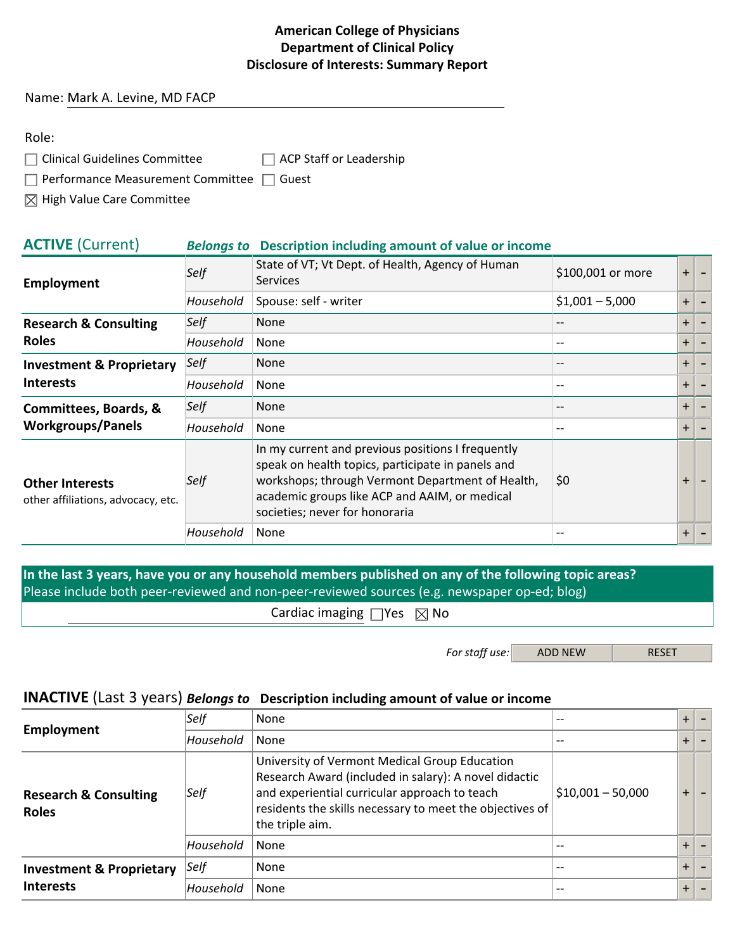#### Name: Mark A. Levine, MD FACP

| Role:                                                 |                                |
|-------------------------------------------------------|--------------------------------|
| $\Box$ Clinical Guidelines Committee                  | $\Box$ ACP Staff or Leadership |
| $\Box$ Performance Measurement Committee $\Box$ Guest |                                |

 $\boxtimes$  High Value Care Committee

| <b>ACTIVE (Current)</b>                                      | <b>Belongs to</b> | Description including amount of value or income                                                                                                                                                                                               |                                       |       |  |
|--------------------------------------------------------------|-------------------|-----------------------------------------------------------------------------------------------------------------------------------------------------------------------------------------------------------------------------------------------|---------------------------------------|-------|--|
| Employment                                                   | Self              | State of VT; Vt Dept. of Health, Agency of Human<br><b>Services</b>                                                                                                                                                                           | \$100,001 or more                     | $+$   |  |
|                                                              | Household         | Spouse: self - writer                                                                                                                                                                                                                         | $$1,001 - 5,000$                      | $+$   |  |
| <b>Research &amp; Consulting</b>                             | Self              | <b>None</b>                                                                                                                                                                                                                                   | $- -$                                 | $+$   |  |
| <b>Roles</b>                                                 | Household         | None                                                                                                                                                                                                                                          | --                                    | $+$   |  |
| <b>Investment &amp; Proprietary</b>                          | Self              | <b>None</b>                                                                                                                                                                                                                                   | $- -$                                 | $+$   |  |
| <b>Interests</b>                                             | Household         | <b>None</b>                                                                                                                                                                                                                                   | --                                    | $+$   |  |
| Committees, Boards, &                                        | Self              | <b>None</b>                                                                                                                                                                                                                                   | --                                    | $\pm$ |  |
| <b>Workgroups/Panels</b>                                     | Household         | None                                                                                                                                                                                                                                          | $\hspace{0.05cm}$ – $\hspace{0.05cm}$ | $+$   |  |
| <b>Other Interests</b><br>other affiliations, advocacy, etc. | Self              | In my current and previous positions I frequently<br>speak on health topics, participate in panels and<br>workshops; through Vermont Department of Health,<br>academic groups like ACP and AAIM, or medical<br>societies; never for honoraria | \$0                                   | $\pm$ |  |
|                                                              | Household         | None                                                                                                                                                                                                                                          | $- -$                                 | $\pm$ |  |

**In the last 3 years, have you or any household members published on any of the following topic areas?**  Please include both peer-reviewed and non-peer-reviewed sources (e.g. newspaper op-ed; blog)

Cardiac imaging  $\Box$  Yes  $\boxtimes$  No

For staff use: ADD NEW RESET

| Employment                                              | Self      | None                                                                                                                                                                                                                                   | $-$                | $+$       |  |
|---------------------------------------------------------|-----------|----------------------------------------------------------------------------------------------------------------------------------------------------------------------------------------------------------------------------------------|--------------------|-----------|--|
|                                                         | Household | None                                                                                                                                                                                                                                   | $-$                | $\ddot{}$ |  |
| <b>Research &amp; Consulting</b><br><b>Roles</b>        | Self      | University of Vermont Medical Group Education<br>Research Award (included in salary): A novel didactic<br>and experiential curricular approach to teach<br>residents the skills necessary to meet the objectives of<br>the triple aim. | $$10,001 - 50,000$ | $\ddot{}$ |  |
|                                                         | Household | None                                                                                                                                                                                                                                   | --                 | $\ddot{}$ |  |
| <b>Investment &amp; Proprietary</b><br><b>Interests</b> | Self      | None                                                                                                                                                                                                                                   | --                 | $\ddot{}$ |  |
|                                                         | Household | None                                                                                                                                                                                                                                   | $-$                | $\ddot{}$ |  |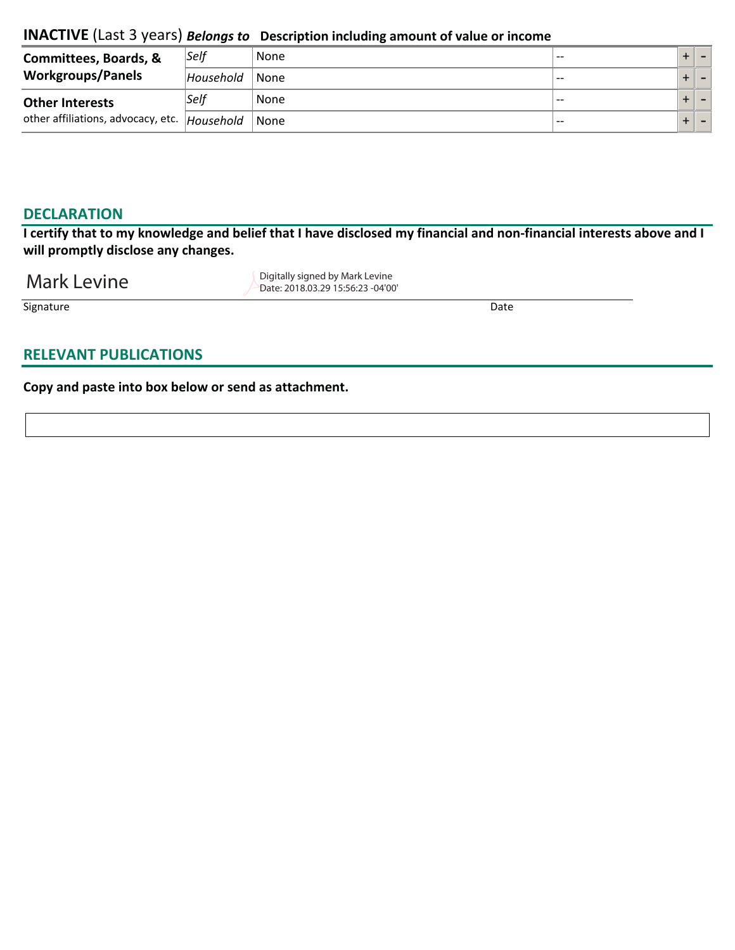| <b>Committees, Boards, &amp;</b>               | Self      | None | $- -$ |  |  |
|------------------------------------------------|-----------|------|-------|--|--|
| <b>Workgroups/Panels</b>                       | Household | None | $- -$ |  |  |
| <b>Other Interests</b>                         | Self      | None | $- -$ |  |  |
| other affiliations, advocacy, etc.   Household |           | None | $- -$ |  |  |

#### **DECLARATION**

**I certify that to my knowledge and belief that I have disclosed my financial and non-financial interests above and I will promptly disclose any changes.** 

Mark Levine Digitally signed by Mark Levine Date: 2018.03.29 15:56:23 -04'00'

Signature Date Date of the Date of the Date of the Date of the Date of the Date of the Date of the Date of the

# **RELEVANT PUBLICATIONS**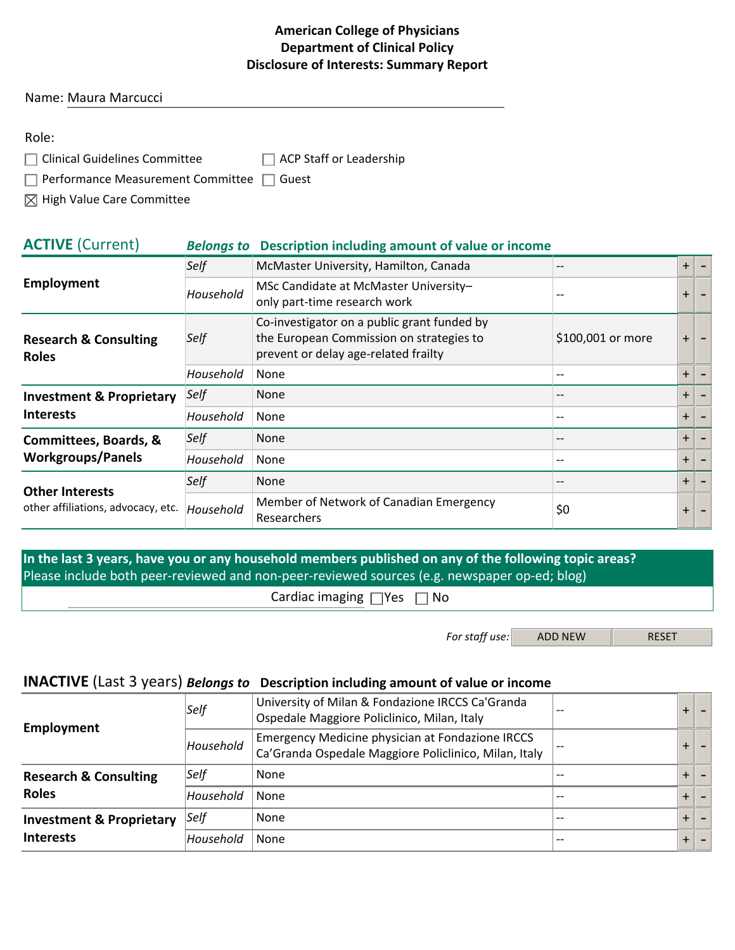#### Name: Maura Marcucci

| ×<br>۰. | ۰. |
|---------|----|

| $\Box$ Clinical Guidelines Committee | □ ACP Staff or Leadership |
|--------------------------------------|---------------------------|
|                                      |                           |

 $\Box$  Performance Measurement Committee  $\Box$  Guest

 $\boxtimes$  High Value Care Committee

| <b>ACTIVE (Current)</b>                                      | <b>Belongs to</b> | Description including amount of value or income                                                                                 |                   |       |  |
|--------------------------------------------------------------|-------------------|---------------------------------------------------------------------------------------------------------------------------------|-------------------|-------|--|
|                                                              | Self              | McMaster University, Hamilton, Canada                                                                                           | $\qquad \qquad -$ | $\pm$ |  |
| Employment                                                   | Household         | MSc Candidate at McMaster University-<br>only part-time research work                                                           |                   | $+$   |  |
| <b>Research &amp; Consulting</b><br><b>Roles</b>             | <b>Self</b>       | Co-investigator on a public grant funded by<br>the European Commission on strategies to<br>prevent or delay age-related frailty | \$100,001 or more | $\pm$ |  |
|                                                              | Household         | None                                                                                                                            | $- -$             | $+$   |  |
| <b>Investment &amp; Proprietary</b>                          | Self              | <b>None</b>                                                                                                                     | $\qquad \qquad -$ | $+$   |  |
| <b>Interests</b>                                             | Household         | None                                                                                                                            | $-$               | $+$   |  |
| Committees, Boards, &                                        | Self              | <b>None</b>                                                                                                                     | $\qquad \qquad -$ | $+$   |  |
| <b>Workgroups/Panels</b>                                     | Household         | None                                                                                                                            | $- -$             | $+$   |  |
| <b>Other Interests</b><br>other affiliations, advocacy, etc. | Self              | <b>None</b>                                                                                                                     | $\qquad \qquad -$ | $+$   |  |
|                                                              | Household         | Member of Network of Canadian Emergency<br>Researchers                                                                          | \$0               | $+$   |  |

**In the last 3 years, have you or any household members published on any of the following topic areas?**  Please include both peer-reviewed and non-peer-reviewed sources (e.g. newspaper op-ed; blog)

Cardiac imaging  $\Box$  Yes  $\Box$  No

*For staff use:* ADD NEW RESET

| Employment                                              | Self      | University of Milan & Fondazione IRCCS Ca'Granda<br>Ospedale Maggiore Policlinico, Milan, Italy           | $- -$ | $\ddot{}$ |  |
|---------------------------------------------------------|-----------|-----------------------------------------------------------------------------------------------------------|-------|-----------|--|
|                                                         | Household | Emergency Medicine physician at Fondazione IRCCS<br>Ca'Granda Ospedale Maggiore Policlinico, Milan, Italy |       | $\ddot{}$ |  |
| <b>Research &amp; Consulting</b>                        | Self      | None                                                                                                      | $-$   | $+$       |  |
| <b>Roles</b>                                            | Household | None                                                                                                      | --    | $+$       |  |
| <b>Investment &amp; Proprietary</b><br><b>Interests</b> | Self      | None                                                                                                      | $-$   | $+$       |  |
|                                                         | Household | None                                                                                                      | $ -$  | $+$       |  |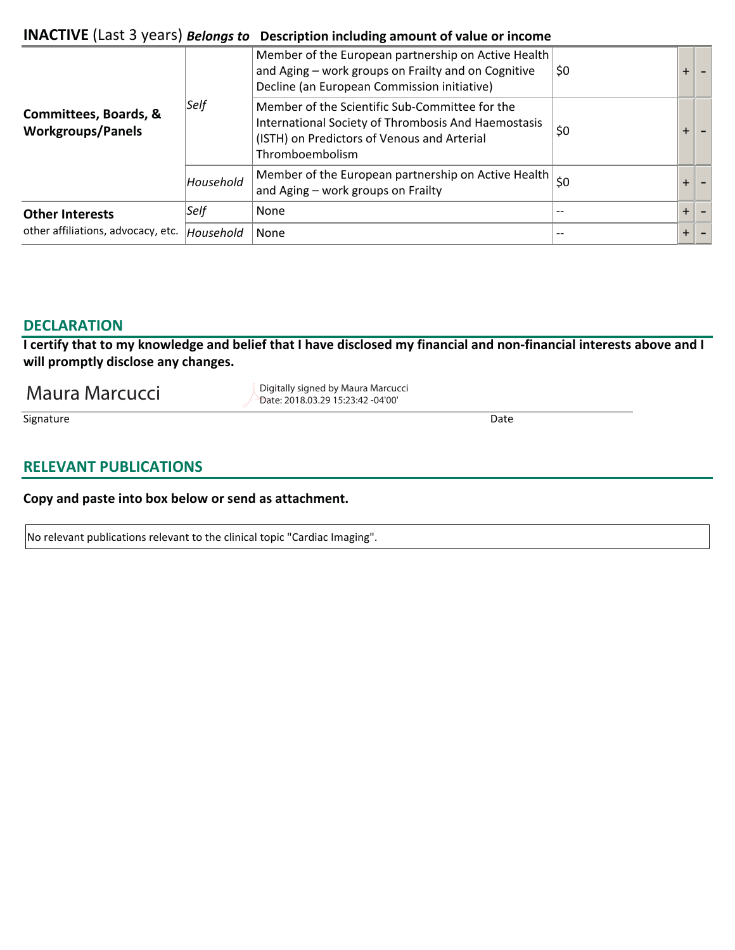| Committees, Boards, &<br><b>Workgroups/Panels</b> |           | Member of the European partnership on Active Health<br>and Aging - work groups on Frailty and on Cognitive<br>Decline (an European Commission initiative)               | \$0   |     |  |
|---------------------------------------------------|-----------|-------------------------------------------------------------------------------------------------------------------------------------------------------------------------|-------|-----|--|
|                                                   | Self      | Member of the Scientific Sub-Committee for the<br>International Society of Thrombosis And Haemostasis<br>(ISTH) on Predictors of Venous and Arterial<br>Thromboembolism | \$0   |     |  |
|                                                   | Household | Member of the European partnership on Active Health<br>and Aging - work groups on Frailty                                                                               | \$0   | ╇   |  |
| <b>Other Interests</b>                            | Self      | None                                                                                                                                                                    | $- -$ | $+$ |  |
| other affiliations, advocacy, etc.                | Household | None                                                                                                                                                                    |       | $+$ |  |

# **DECLARATION**

**I certify that to my knowledge and belief that I have disclosed my financial and non-financial interests above and I will promptly disclose any changes.** 

 $\text{Maura Marcucci}$  Digitally signed by Maura Marcucci Date: 2018.03.29 15:23:42 -04'00'

Signature Date Date of the Date of the Date of the Date of the Date of the Date of the Date of the Date of the

# **RELEVANT PUBLICATIONS**

**Copy and paste into box below or send as attachment.**

No relevant publications relevant to the clinical topic "Cardiac Imaging".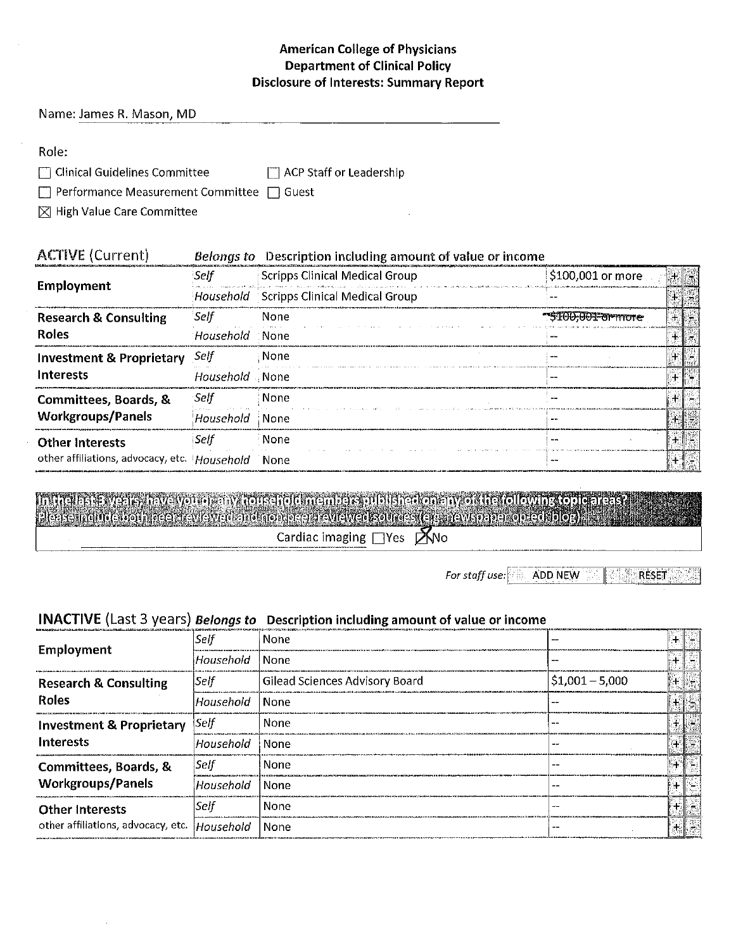Name: James R. Mason, MD

| ۰, |  |
|----|--|

- □ Clinical Guidelines Committee ACP Staff or Leadership
- □ Performance Measurement Committee □ Guest
- $\boxtimes$  High Value Care Committee

| <b>ACTIVE (Current)</b> | Belongs to Description including amount of value or income |
|-------------------------|------------------------------------------------------------|
|                         |                                                            |

|                                                         | Self                   | Scripps Clinical Medical Group           | \$100,001 or more               |  |  |
|---------------------------------------------------------|------------------------|------------------------------------------|---------------------------------|--|--|
| <b>Employment</b>                                       |                        | Household Scripps Clinical Medical Group |                                 |  |  |
| <b>Research &amp; Consulting</b>                        | Self                   | None                                     | FFAD-ADDE <del>-OPPTIOT</del> E |  |  |
| <b>Roles</b>                                            | <i>Household</i> None  |                                          |                                 |  |  |
| <b>Investment &amp; Proprietary</b><br><b>Interests</b> | Self                   | - None                                   |                                 |  |  |
|                                                         | Household None         |                                          |                                 |  |  |
| Committees, Boards, &                                   | Self                   | : None                                   |                                 |  |  |
| <b>Workgroups/Panels</b>                                | <i>'Household</i> None |                                          |                                 |  |  |
| <b>Other Interests</b>                                  | Self                   | Mone                                     |                                 |  |  |
| other affiliations, advocacy, etc. Household            |                        | None                                     |                                 |  |  |

<u>li titeleste vesto lisvevoteorsiny totseliditinemiset publisteloneny oktis folloying to diese.</u> ezse inditide both peorteviewed and non-rear reviewed sources (expanewspaper op ed. blog Cardiac imaging  $\Box$ Yes  $\Box$ No

> For staff use: ADD NEW **RESET**

|                                     | Self             | <b>None</b>                    |                  |  |  |
|-------------------------------------|------------------|--------------------------------|------------------|--|--|
| Employment                          | <i>Household</i> | l None                         | --               |  |  |
| <b>Research &amp; Consulting</b>    | $\mathsf{Self}$  | Gilead Sciences Advisory Board | $$1,001 - 5,000$ |  |  |
| <b>Roles</b>                        | lHousehold       | None                           |                  |  |  |
| <b>Investment &amp; Proprietary</b> | $\mathsf{Self}$  | None                           | $-1$             |  |  |
| <b>Interests</b>                    | Household        | <b>None</b>                    | $\sim$ $-$       |  |  |
| Committees, Boards, &               | Self             | None                           |                  |  |  |
| <b>Workgroups/Panels</b>            | Household        | None                           | --               |  |  |
| <b>Other Interests</b>              | Self             | None                           | --               |  |  |
| other affiliations, advocacy, etc.  | Household        | None                           |                  |  |  |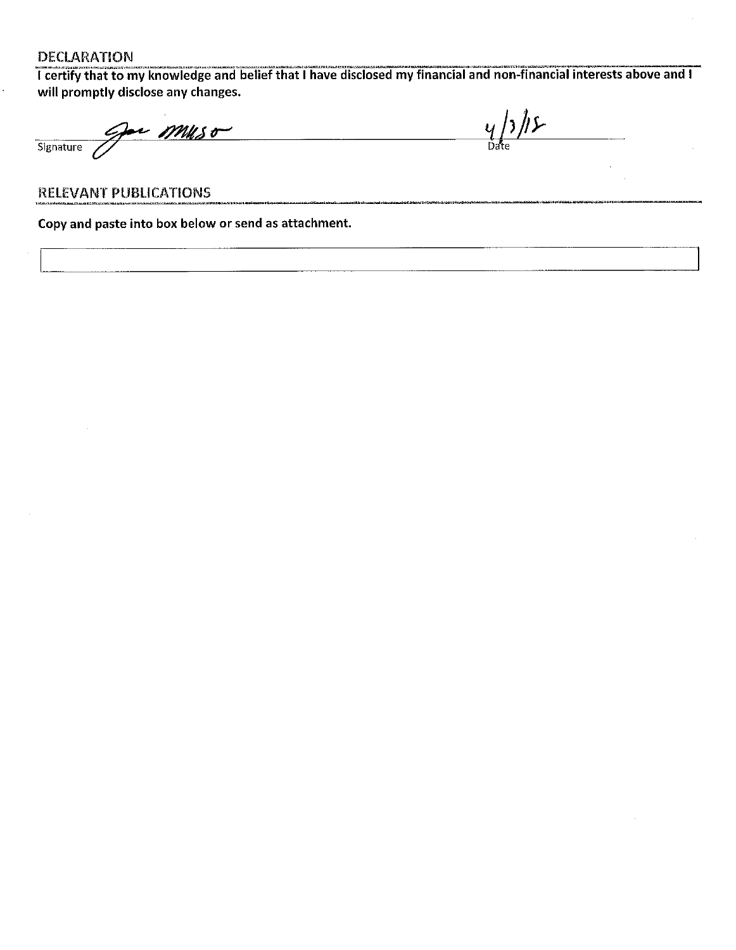# DECLARATION

I certify that to my knowledge and belief that I have disclosed my financial and non-financial interests above and I will promptly disclose any changes.

 $4/3/12$ for Muso Signature

#### **RELEVANT PUBLICATIONS**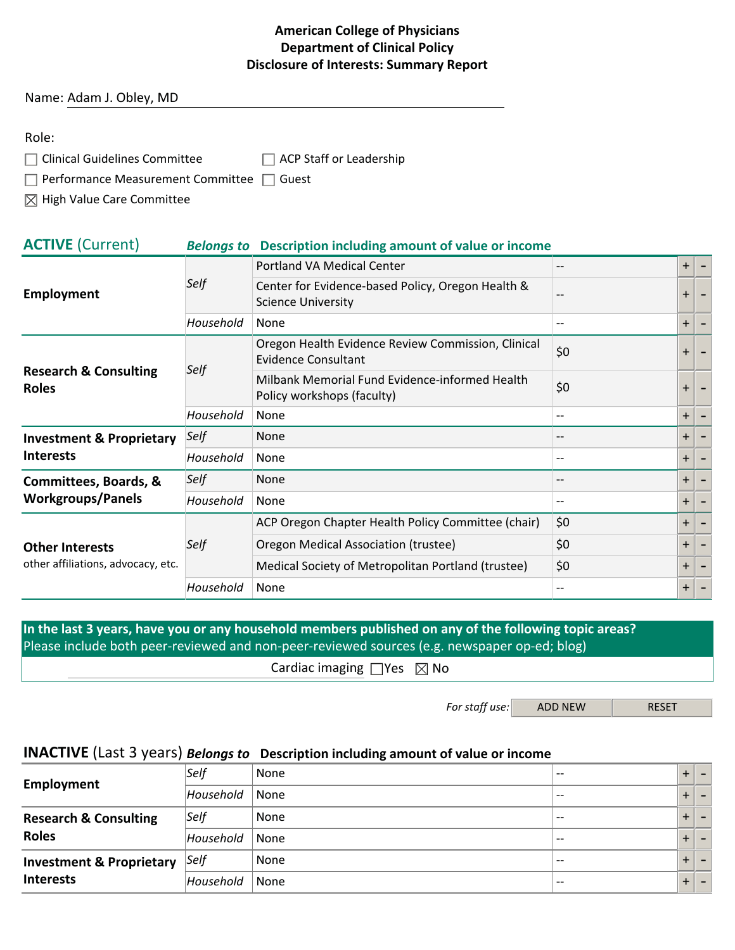#### Name: Adam J. Obley, MD

| Role:                                                 |                                |
|-------------------------------------------------------|--------------------------------|
| $\Box$ Clinical Guidelines Committee                  | $\Box$ ACP Staff or Leadership |
| $\Box$ Performance Measurement Committee $\Box$ Guest |                                |

 $\boxtimes$  High Value Care Committee

| <b>ACTIVE (Current)</b>                          | <b>Belongs to</b> | Description including amount of value or income                                  |                          |         |  |
|--------------------------------------------------|-------------------|----------------------------------------------------------------------------------|--------------------------|---------|--|
|                                                  |                   | Portland VA Medical Center                                                       | $-\!$ $\!-$              | $+$     |  |
| Employment                                       | Self              | Center for Evidence-based Policy, Oregon Health &<br><b>Science University</b>   |                          | $+$     |  |
|                                                  | Household         | None                                                                             | $-\, -$                  | $+$     |  |
| <b>Research &amp; Consulting</b><br><b>Roles</b> | Self              | Oregon Health Evidence Review Commission, Clinical<br><b>Evidence Consultant</b> | \$0                      | $+$     |  |
|                                                  |                   | Milbank Memorial Fund Evidence-informed Health<br>Policy workshops (faculty)     | \$0                      | $+$     |  |
|                                                  | Household         | None                                                                             | $\overline{\phantom{m}}$ | $+$     |  |
| <b>Investment &amp; Proprietary</b>              | Self              | <b>None</b>                                                                      | $-\, -$                  | $\pm$   |  |
| <b>Interests</b>                                 | Household         | None                                                                             | $-$                      | $+$     |  |
| <b>Committees, Boards, &amp;</b>                 | Self              | <b>None</b>                                                                      | $-\, -$                  | $+$     |  |
| <b>Workgroups/Panels</b>                         | Household         | None                                                                             | $-$                      | $+$     |  |
|                                                  |                   | ACP Oregon Chapter Health Policy Committee (chair)                               | \$0                      | $\ddag$ |  |
| <b>Other Interests</b>                           | Self              | Oregon Medical Association (trustee)                                             | \$0                      | $+$     |  |
| other affiliations, advocacy, etc.               |                   | Medical Society of Metropolitan Portland (trustee)                               | \$0                      | $+$     |  |
|                                                  | Household         | None                                                                             | $\overline{\phantom{a}}$ | $+$     |  |

**In the last 3 years, have you or any household members published on any of the following topic areas?**  Please include both peer-reviewed and non-peer-reviewed sources (e.g. newspaper op-ed; blog)

Cardiac imaging  $\Box$  Yes  $\boxtimes$  No

For staff use: ADD NEW RESET

| Employment                                              | Self      | None | $- -$ |     |  |
|---------------------------------------------------------|-----------|------|-------|-----|--|
|                                                         | Household | None | $- -$ | $+$ |  |
| <b>Research &amp; Consulting</b><br><b>Roles</b>        | Self      | None | $- -$ |     |  |
|                                                         | Household | None | $- -$ |     |  |
| <b>Investment &amp; Proprietary</b><br><b>Interests</b> | Self      | None | $-$   |     |  |
|                                                         | Household | None | $-$   | $+$ |  |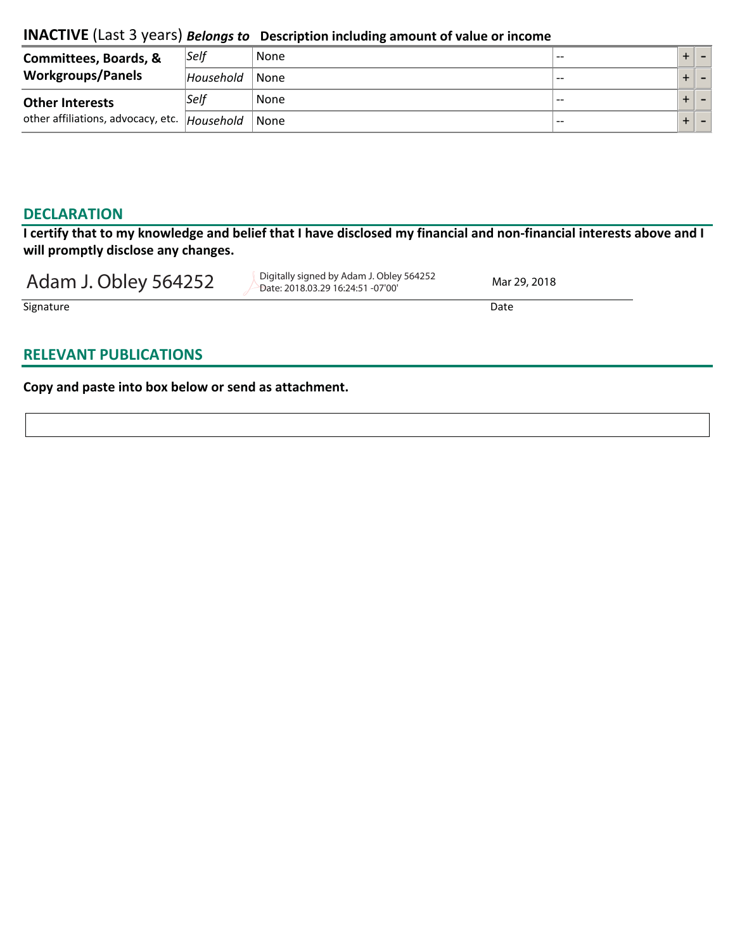| <b>Committees, Boards, &amp;</b>               | Self      | None | $- -$ |  |  |
|------------------------------------------------|-----------|------|-------|--|--|
| <b>Workgroups/Panels</b>                       | Household | None | $- -$ |  |  |
| <b>Other Interests</b>                         | Self      | None | $- -$ |  |  |
| other affiliations, advocacy, etc.   Household |           | None | $- -$ |  |  |

#### **DECLARATION**

**I certify that to my knowledge and belief that I have disclosed my financial and non-financial interests above and I will promptly disclose any changes.** 

Adam J. Obley 564252 Digitally signed by Adam J. Obley 564252

Date: 2018.03.29 16:24:51 -07'00'

Mar 29, 2018

Signature Date Date of the Date of the Date of the Date of the Date of the Date of the Date of the Date of the

# **RELEVANT PUBLICATIONS**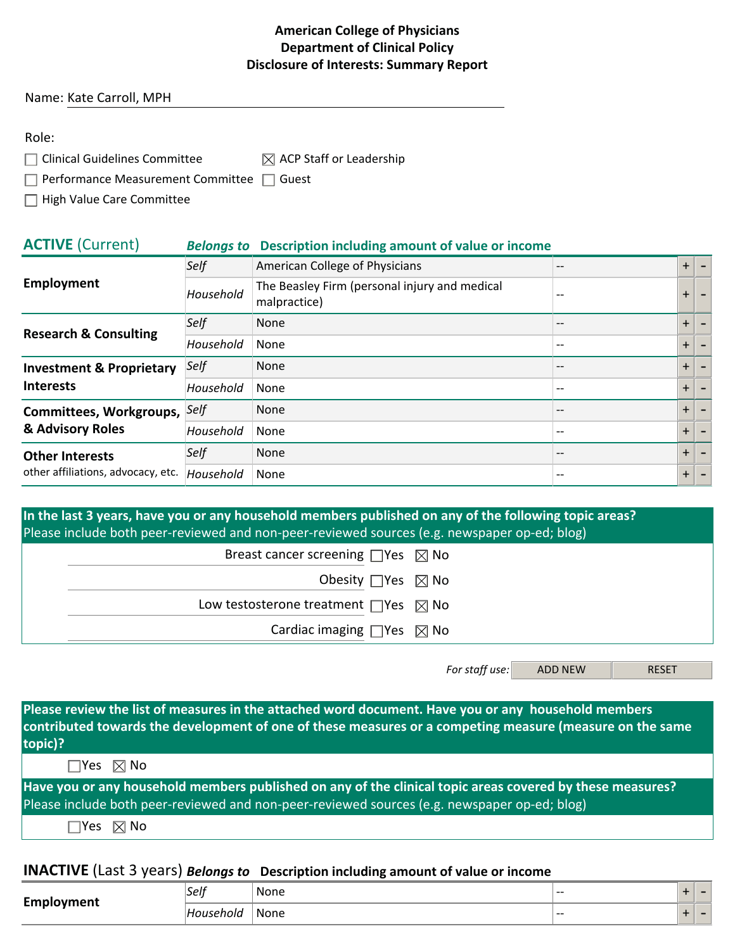#### Name: Kate Carroll, MPH

| ×<br>I | ۹ |  |
|--------|---|--|

| $\Box$ Clinical Guidelines Committee | $\boxtimes$ ACP Staff or Leadership |
|--------------------------------------|-------------------------------------|
|                                      |                                     |

 $\Box$  Performance Measurement Committee  $\Box$  Guest

 $\Box$  High Value Care Committee

| <b>ACTIVE (Current)</b>                                      | <b>Belongs to</b> | Description including amount of value or income               |                                       |           |  |
|--------------------------------------------------------------|-------------------|---------------------------------------------------------------|---------------------------------------|-----------|--|
| Employment                                                   | Self              | American College of Physicians                                | --                                    | $+$       |  |
|                                                              | Household         | The Beasley Firm (personal injury and medical<br>malpractice) | $- -$                                 | $\pm$     |  |
|                                                              | Self              | None                                                          | $- -$                                 | $\ddot{}$ |  |
| <b>Research &amp; Consulting</b>                             | Household         | None                                                          | $\hspace{0.05cm}$ – $\hspace{0.05cm}$ | $+$       |  |
| <b>Investment &amp; Proprietary</b><br><b>Interests</b>      | Self              | None                                                          | --                                    | $+$       |  |
|                                                              | Household         | None                                                          | $\hspace{0.05cm}$ – $\hspace{0.05cm}$ | $+$       |  |
| Committees, Workgroups,                                      | Self              | <b>None</b>                                                   | --                                    | $+$       |  |
| & Advisory Roles                                             | Household         | None                                                          | $\hspace{0.04in}$ $\hspace{0.04in}$   | $+$       |  |
| <b>Other Interests</b><br>other affiliations, advocacy, etc. | Self              | None                                                          | $- -$                                 | $+$       |  |
|                                                              | Household         | None                                                          | $\hspace{0.05cm}$ – $\hspace{0.05cm}$ | $+$       |  |

| Breast cancer screening $\Box$ Yes $\boxtimes$ No<br>Obesity $\Box$ Yes $\boxtimes$ No<br>Low testosterone treatment $\Box$ Yes $\boxtimes$ No<br>Cardiac imaging $\Box$ Yes $\boxtimes$ No | In the last 3 years, have you or any household members published on any of the following topic areas?<br>Please include both peer-reviewed and non-peer-reviewed sources (e.g. newspaper op-ed; blog) |
|---------------------------------------------------------------------------------------------------------------------------------------------------------------------------------------------|-------------------------------------------------------------------------------------------------------------------------------------------------------------------------------------------------------|
|                                                                                                                                                                                             |                                                                                                                                                                                                       |
|                                                                                                                                                                                             |                                                                                                                                                                                                       |
|                                                                                                                                                                                             |                                                                                                                                                                                                       |
|                                                                                                                                                                                             |                                                                                                                                                                                                       |

*For staff use:* ADD NEW RESET

**Please review the list of measures in the attached word document. Have you or any household members contributed towards the development of one of these measures or a competing measure (measure on the same topic)?**

 $\square$ Yes  $\square$  No

**Have you or any household members published on any of the clinical topic areas covered by these measures?**  Please include both peer-reviewed and non-peer-reviewed sources (e.g. newspaper op-ed; blog)

 $\Box$ Yes  $\boxtimes$  No

| Employment | اام،<br>◡◡              | None   | $- -$ |  |  |
|------------|-------------------------|--------|-------|--|--|
|            | holc:<br>71<br>- 4361 - | Mone ® | $- -$ |  |  |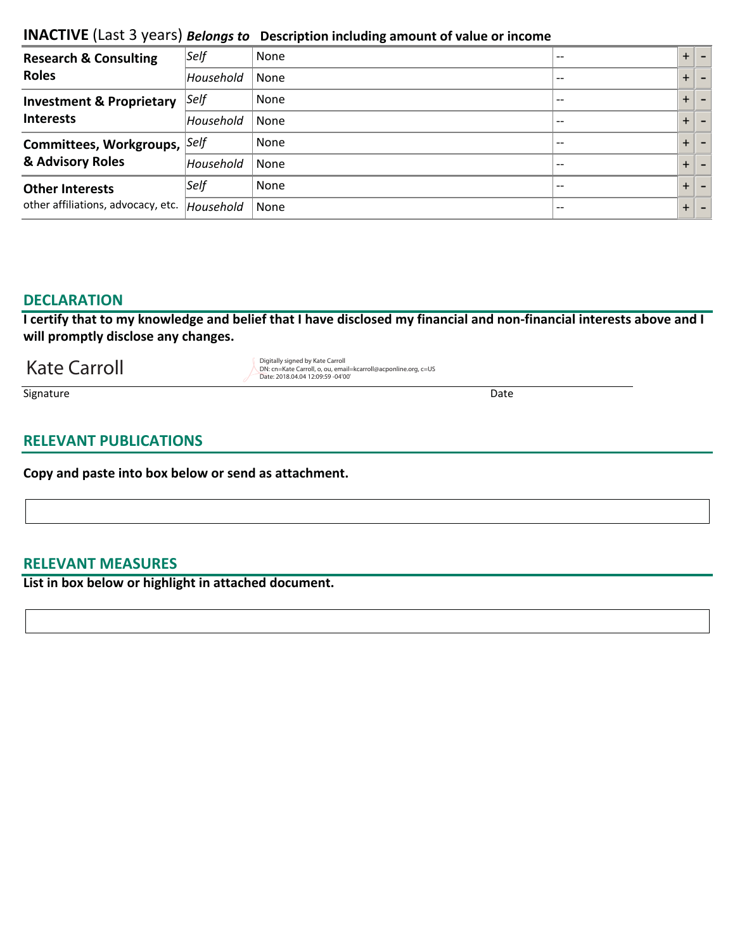| <b>Research &amp; Consulting</b>    | Self                          | None | $- -$                                 | $+$   |  |
|-------------------------------------|-------------------------------|------|---------------------------------------|-------|--|
| <b>Roles</b>                        | Household                     | None | $\hspace{0.05cm}$ – $\hspace{0.05cm}$ | $+$   |  |
| <b>Investment &amp; Proprietary</b> | Self                          | None | $\hspace{0.05cm}$ – $\hspace{0.05cm}$ | $+$   |  |
| <b>Interests</b>                    | Household                     | None | $\qquad \qquad -$                     | $+$   |  |
| Committees, Workgroups,             | $\left \mathcal{Self}\right $ | None | $- -$                                 | $\pm$ |  |
| & Advisory Roles                    | Household                     | None | $\qquad \qquad -$                     | $+$   |  |
| <b>Other Interests</b>              | Self                          | None | $\hspace{0.04in}$ $\hspace{0.04in}$   | $+$   |  |
| other affiliations, advocacy, etc.  | Household                     | None | $\qquad \qquad -$                     | $+$   |  |

## **DECLARATION**

**I certify that to my knowledge and belief that I have disclosed my financial and non-financial interests above and I will promptly disclose any changes.** 

# Kate Carroll<br>
Notic m=Kate Carroll, o, ou, email on the Carroll Carroll Carroll Carroll Digitally signed by Kate Carroll

DN: cn=Kate Carroll, o, ou, email=kcarroll@acponline.org, c=US Date: 2018.04.04 12:09:59 -04'00'

Signature Date Date of the Date of the Date of the Date of the Date of the Date of the Date of the Date of the

# **RELEVANT PUBLICATIONS**

**Copy and paste into box below or send as attachment.**

#### **RELEVANT MEASURES**

**List in box below or highlight in attached document.**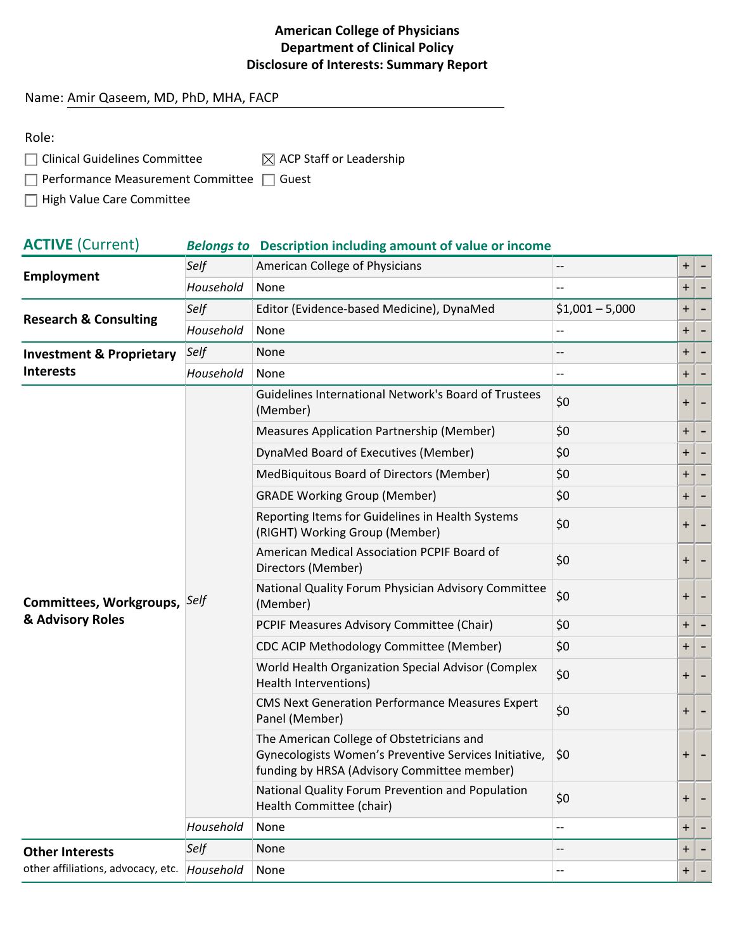#### Name: Amir Qaseem, MD, PhD, MHA, FACP

 $\Box$  Clinical Guidelines Committee  $\boxtimes$  ACP Staff or Leadership

 $\Box$  Performance Measurement Committee  $\Box$  Guest

High Value Care Committee

# **ACTIVE** (Current) *Belongs to* **Description including amount of value or income**

| <b>Employment</b>                              | Self      | American College of Physicians                                                                                                                    | $\qquad \qquad -$        | $\ddagger$ |  |
|------------------------------------------------|-----------|---------------------------------------------------------------------------------------------------------------------------------------------------|--------------------------|------------|--|
|                                                | Household | None                                                                                                                                              |                          | $+$        |  |
|                                                | Self      | Editor (Evidence-based Medicine), DynaMed                                                                                                         | $$1,001 - 5,000$         | $\ddagger$ |  |
| <b>Research &amp; Consulting</b>               | Household | None                                                                                                                                              | $\overline{\phantom{a}}$ | $\ddot{}$  |  |
| <b>Investment &amp; Proprietary</b>            | Self      | None                                                                                                                                              | $-$                      | $\ddot{}$  |  |
| <b>Interests</b>                               | Household | None                                                                                                                                              | --                       | $+$        |  |
|                                                |           | Guidelines International Network's Board of Trustees<br>(Member)                                                                                  | \$0                      | $\ddagger$ |  |
|                                                |           | Measures Application Partnership (Member)                                                                                                         | \$0                      | $\pmb{+}$  |  |
|                                                |           | DynaMed Board of Executives (Member)                                                                                                              | \$0                      | $\ddagger$ |  |
|                                                |           | MedBiquitous Board of Directors (Member)                                                                                                          | \$0                      | $\ddagger$ |  |
|                                                |           | <b>GRADE Working Group (Member)</b>                                                                                                               | \$0                      | $\pm$      |  |
|                                                |           | Reporting Items for Guidelines in Health Systems<br>(RIGHT) Working Group (Member)                                                                | \$0                      | $\ddagger$ |  |
|                                                |           | American Medical Association PCPIF Board of<br>Directors (Member)                                                                                 | \$0                      | $\pm$      |  |
| Committees, Workgroups, Self                   |           | National Quality Forum Physician Advisory Committee<br>(Member)                                                                                   | \$0                      | $\ddagger$ |  |
| & Advisory Roles                               |           | PCPIF Measures Advisory Committee (Chair)                                                                                                         | \$0                      | $\ddagger$ |  |
|                                                |           | CDC ACIP Methodology Committee (Member)                                                                                                           | \$0                      | $\pm$      |  |
|                                                |           | World Health Organization Special Advisor (Complex<br><b>Health Interventions)</b>                                                                | \$0                      | $\ddagger$ |  |
|                                                |           | <b>CMS Next Generation Performance Measures Expert</b><br>Panel (Member)                                                                          | \$0                      | $\pm$      |  |
|                                                |           | The American College of Obstetricians and<br>Gynecologists Women's Preventive Services Initiative,<br>funding by HRSA (Advisory Committee member) | \$0                      | $\ddagger$ |  |
|                                                |           | National Quality Forum Prevention and Population<br>Health Committee (chair)                                                                      | \$0                      | $\ddag$    |  |
|                                                | Household | None                                                                                                                                              | --                       | $\pm$      |  |
| <b>Other Interests</b>                         | Self      | None                                                                                                                                              | --                       | $\ddagger$ |  |
| other affiliations, advocacy, etc.   Household |           | None                                                                                                                                              | $\overline{\phantom{0}}$ | $\ddagger$ |  |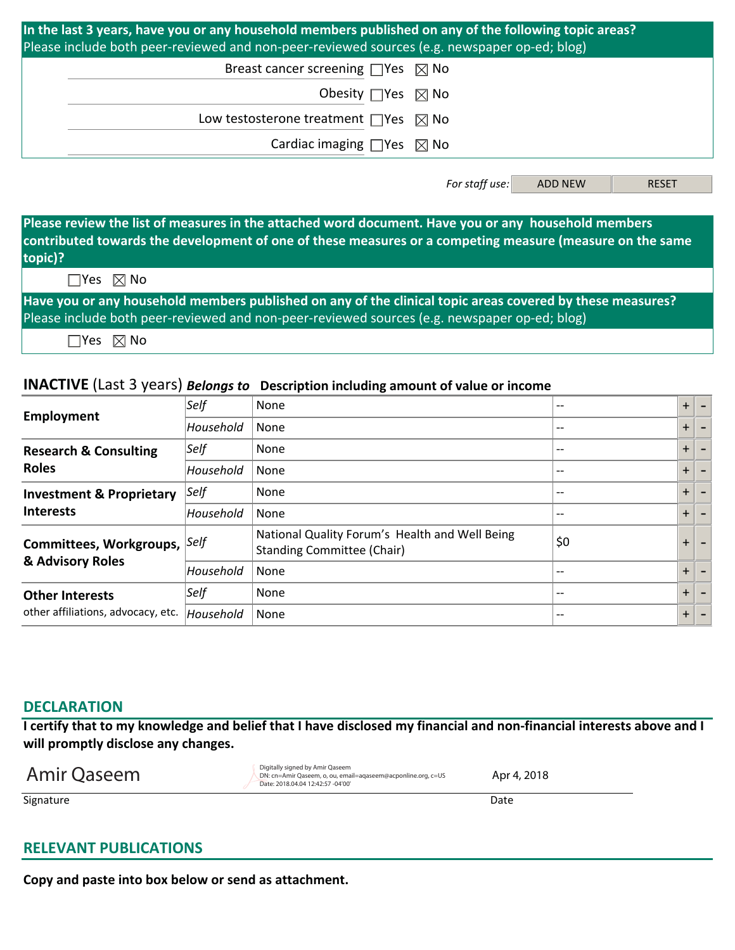| In the last 3 years, have you or any household members published on any of the following topic areas?<br>Please include both peer-reviewed and non-peer-reviewed sources (e.g. newspaper op-ed; blog) |                                           |
|-------------------------------------------------------------------------------------------------------------------------------------------------------------------------------------------------------|-------------------------------------------|
| Breast cancer screening $\Box$ Yes $\boxtimes$ No                                                                                                                                                     |                                           |
|                                                                                                                                                                                                       | Obesity $\Box$ Yes $\boxtimes$ No         |
| Low testosterone treatment $\Box$ Yes $\boxtimes$ No                                                                                                                                                  |                                           |
|                                                                                                                                                                                                       | Cardiac imaging $\Box$ Yes $\boxtimes$ No |
|                                                                                                                                                                                                       |                                           |

*For staff use:* ADD NEW RESET

**Please review the list of measures in the attached word document. Have you or any household members contributed towards the development of one of these measures or a competing measure (measure on the same topic)?**

 $\Box$ Yes  $\boxtimes$  No

**Have you or any household members published on any of the clinical topic areas covered by these measures?**  Please include both peer-reviewed and non-peer-reviewed sources (e.g. newspaper op-ed; blog)

 $\square$ Yes  $\square$  No

#### **INACTIVE** (Last 3 years) *Belongs to* **Description including amount of value or income**

| Employment                                                                                                       | Self      | None                                                                                | $- -$             | $+$ |  |
|------------------------------------------------------------------------------------------------------------------|-----------|-------------------------------------------------------------------------------------|-------------------|-----|--|
|                                                                                                                  | Household | None                                                                                | $\qquad \qquad -$ | $+$ |  |
| <b>Research &amp; Consulting</b>                                                                                 | Self      | None                                                                                | $- -$             | $+$ |  |
| <b>Roles</b>                                                                                                     | Household | None                                                                                | $\qquad \qquad -$ | $+$ |  |
| <b>Investment &amp; Proprietary</b><br><b>Interests</b>                                                          | Self      | None                                                                                | $- -$             | $+$ |  |
|                                                                                                                  | Household | None                                                                                | $\qquad \qquad -$ | $+$ |  |
| Committees, Workgroups, Self<br>& Advisory Roles<br><b>Other Interests</b><br>other affiliations, advocacy, etc. |           | National Quality Forum's Health and Well Being<br><b>Standing Committee (Chair)</b> | \$0               | $+$ |  |
|                                                                                                                  | Household | None                                                                                | $- -$             | $+$ |  |
|                                                                                                                  | Self      | None                                                                                | $- -$             | $+$ |  |
|                                                                                                                  | Household | None                                                                                | $- -$             | $+$ |  |

## **DECLARATION**

**I certify that to my knowledge and belief that I have disclosed my financial and non-financial interests above and I will promptly disclose any changes.** 

Amir Qaseem **Digitally signed by Amir Qaseem** ON **Consumity** also even by Amir Qaseem o, ou, ema DN: cn=Amir Qaseem, o, ou, email=aqaseem@acponline.org, c=US Date: 2018.04.04.12:42:57 -04'00'

Apr 4, 2018

Signature Date Date of the Date of the Date of the Date of the Date of the Date of the Date of the Date of the

# **RELEVANT PUBLICATIONS**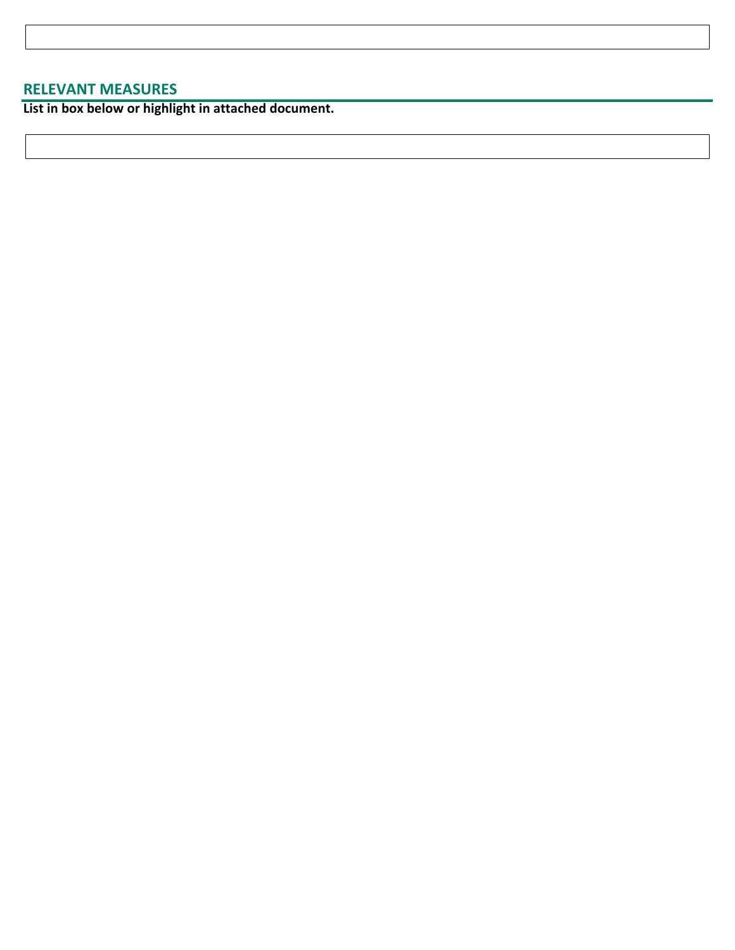# **RELEVANT MEASURES**

**List in box below or highlight in attached document.**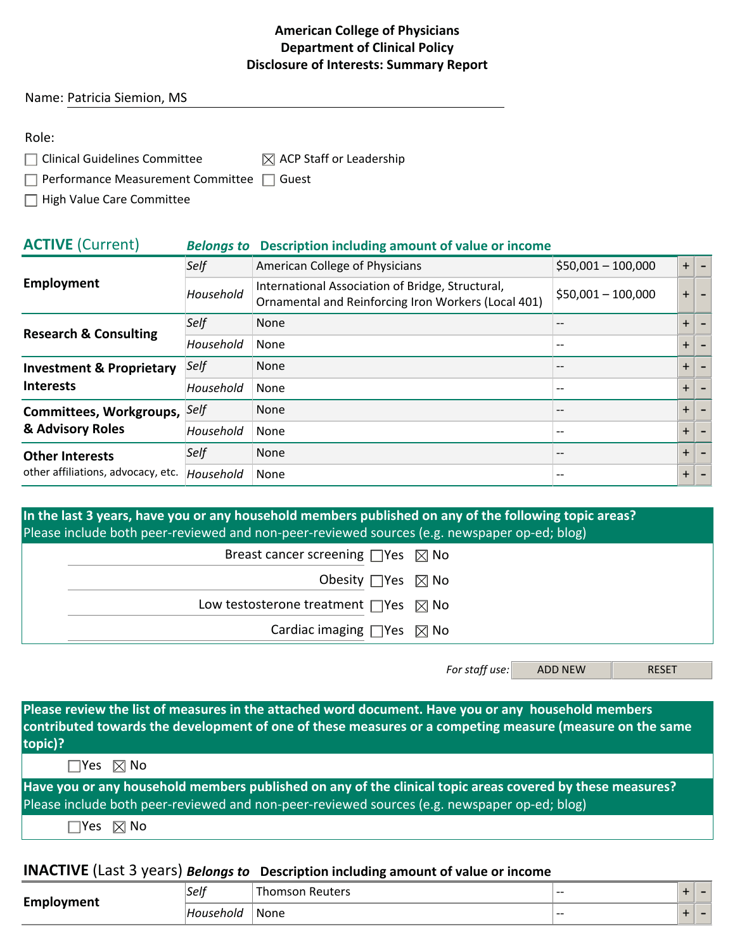#### Name: Patricia Siemion, MS

| $\Box$ Clinical Guidelines Committee | $\boxtimes$ ACP Staff or Leadership |
|--------------------------------------|-------------------------------------|
|                                      |                                     |

 $\Box$  Performance Measurement Committee  $\Box$  Guest

 $\Box$  High Value Care Committee

#### **ACTIVE** (Current) *Belongs to* **Description including amount of value or income Employment Self** American College of Physicians  $\begin{array}{c|c} \hline \text{S}} & \text{S} & \text{S} & \text{S} \\ \hline \end{array}$  American College of Physicians *Household* International Association of Bridge, Structural, Ornamental and Reinforcing Iron Workers (Local 401)  $\begin{array}{|l} \hline \text{550,001} - 100,000 \text{ } + \text{100,000} \end{array}$ **Research & Consulting** *Self* None -- <sup>+</sup> - *Household* None  $\begin{array}{|c|c|c|c|}\hline \text{+} & - & \text{+} & + \end{array}$ **Investment & Proprietary Interests**  $Self$  None  $|+|$  -*Household* None  $\begin{array}{|c|c|c|c|}\hline \text{+} & - & \text{+} & + \end{array}$ **Committees, Workgroups, & Advisory Roles**  $Self$  None  $|+|$  -*Household* None  $\begin{array}{|c|c|c|c|}\hline \text{+} & - & \text{+} & + \end{array}$ **Other Interests**  other affiliations, advocacy, etc. | Household  $Self$  None  $| + | -$ *Household* None  $\begin{array}{|c|c|c|c|}\hline \text{+} & - & \text{+} & + \end{array}$

| In the last 3 years, have you or any household members published on any of the following topic areas?<br>Please include both peer-reviewed and non-peer-reviewed sources (e.g. newspaper op-ed; blog) |  |  |  |  |
|-------------------------------------------------------------------------------------------------------------------------------------------------------------------------------------------------------|--|--|--|--|
| Breast cancer screening $\Box$ Yes $\boxtimes$ No                                                                                                                                                     |  |  |  |  |
| Obesity $\Box$ Yes $\boxtimes$ No                                                                                                                                                                     |  |  |  |  |
| Low testosterone treatment $\Box$ Yes $\boxtimes$ No                                                                                                                                                  |  |  |  |  |
| Cardiac imaging $\Box$ Yes $\boxtimes$ No                                                                                                                                                             |  |  |  |  |

*For staff use:* ADD NEW RESET

**Please review the list of measures in the attached word document. Have you or any household members contributed towards the development of one of these measures or a competing measure (measure on the same topic)?**

 $\square$ Yes  $\square$  No

**Have you or any household members published on any of the clinical topic areas covered by these measures?**  Please include both peer-reviewed and non-peer-reviewed sources (e.g. newspaper op-ed; blog)

 $\Box$ Yes  $\boxtimes$  No

| Employment | Self  | Reuters<br>l homson | $- -$ |  |  |
|------------|-------|---------------------|-------|--|--|
|            | :hoic | None                | $- -$ |  |  |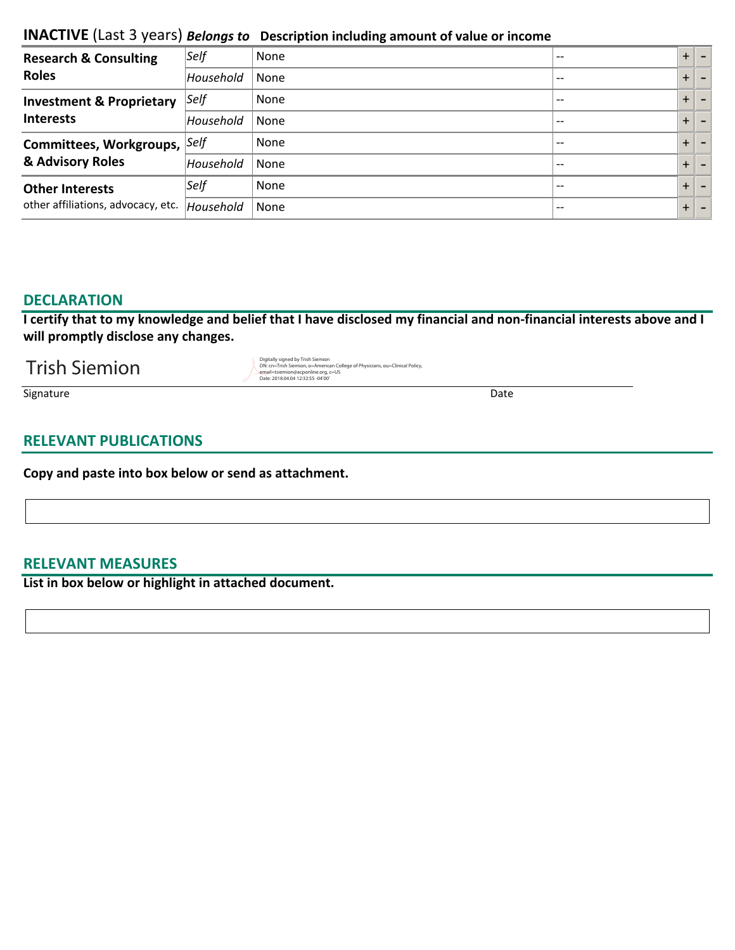| <b>Research &amp; Consulting</b><br><b>Roles</b> | Self              | None | $- -$                                 | $+$       |  |
|--------------------------------------------------|-------------------|------|---------------------------------------|-----------|--|
|                                                  | Household         | None | $- -$                                 | $\pm$     |  |
| <b>Investment &amp; Proprietary</b>              | Self              | None | $\hspace{0.05cm}$ – $\hspace{0.05cm}$ | $+$       |  |
| <b>Interests</b>                                 | Household         | None | $\hspace{0.05cm}$ – $\hspace{0.05cm}$ | $+$       |  |
| Committees, Workgroups,                          | $\mathcal{S}$ elf | None | $\qquad \qquad -$                     | $\pm$     |  |
| & Advisory Roles                                 | Household         | None | $- -$                                 | $+$       |  |
| <b>Other Interests</b>                           | Self              | None | $- -$                                 | $\ddot{}$ |  |
| other affiliations, advocacy, etc.               | Household         | None | $\qquad \qquad -$                     | $+$       |  |

# **DECLARATION**

**I certify that to my knowledge and belief that I have disclosed my financial and non-financial interests above and I will promptly disclose any changes.** 

# **Trish Siemion**

DN: cn=Trish Siemion, o=American College of Physicians, ou=Clinical Policy,<br>email=tsiemion@acponline.org, c=US<br>Date: 2018.04.04 12:32:55 -04'00'

Signature Date Date of the Date of the Date of the Date of the Date of the Date of the Date of the Date of the

# **RELEVANT PUBLICATIONS**

**Copy and paste into box below or send as attachment.**

# **RELEVANT MEASURES**

**List in box below or highlight in attached document.**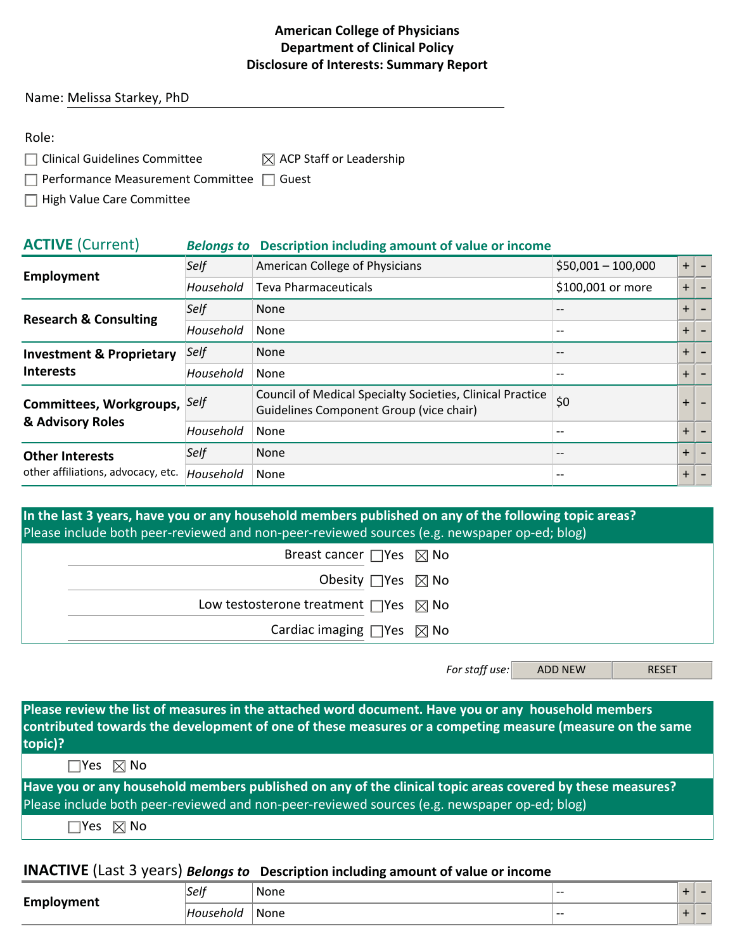#### Name: Melissa Starkey, PhD

| ×<br>۰. | ۰. |  |
|---------|----|--|

 $\Box$  Clinical Guidelines Committee  $\boxtimes$  ACP Staff or Leadership

 $\Box$  Performance Measurement Committee  $\Box$  Guest

 $\Box$  High Value Care Committee

# **ACTIVE** (Current) *Belongs to* **Description including amount of value or income Employment** *Self* American College of Physicians \$50,001 – 100,000 +  $\frac{1}{2}$  +  $\frac{100,000}{1}$  +  $\frac{100,001}{1}$  +  $\frac{100,001}{1}$  +  $\frac{100,001}{1}$  +  $\frac{100,001}{1}$  +  $\frac{100,001}{1}$  +  $\frac{100,001}{1}$  +  $\frac{100,001}{1$ **Teva Pharmaceuticals Research & Consulting** *Self* None -- <sup>+</sup> - *Household* None  $+$  -  $-$  +  $-$

| <b>Investment &amp; Proprietary</b>            | Self      | <b>None</b>                                                                                          |       |      |  |
|------------------------------------------------|-----------|------------------------------------------------------------------------------------------------------|-------|------|--|
| <b>Interests</b>                               | Household | None                                                                                                 | $- -$ | $+$  |  |
| Committees, Workgroups, Self                   |           | Council of Medical Specialty Societies, Clinical Practice<br>Guidelines Component Group (vice chair) | \$0   |      |  |
| & Advisory Roles                               | Household | None                                                                                                 |       | $+$  |  |
| <b>Other Interests</b>                         | Self      | None                                                                                                 |       |      |  |
| other affiliations, advocacy, etc.   Household |           | None                                                                                                 | $- -$ | $+1$ |  |

| In the last 3 years, have you or any household members published on any of the following topic areas?<br>Please include both peer-reviewed and non-peer-reviewed sources (e.g. newspaper op-ed; blog) |  |  |  |  |  |
|-------------------------------------------------------------------------------------------------------------------------------------------------------------------------------------------------------|--|--|--|--|--|
| Breast cancer $\Box$ Yes $\boxtimes$ No                                                                                                                                                               |  |  |  |  |  |
| Obesity $\Box$ Yes $\boxtimes$ No                                                                                                                                                                     |  |  |  |  |  |
| Low testosterone treatment $\Box$ Yes $\boxtimes$ No                                                                                                                                                  |  |  |  |  |  |
| Cardiac imaging $\Box$ Yes $\boxtimes$ No                                                                                                                                                             |  |  |  |  |  |

*For staff use:* ADD NEW RESET

**Please review the list of measures in the attached word document. Have you or any household members contributed towards the development of one of these measures or a competing measure (measure on the same topic)?**

 $\square$ Yes  $\square$  No

**Have you or any household members published on any of the clinical topic areas covered by these measures?**  Please include both peer-reviewed and non-peer-reviewed sources (e.g. newspaper op-ed; blog)

 $\Box$ Yes  $\boxtimes$  No

| <b>Empl</b><br>vment <sup>-</sup> | Self        | None        | $- -$ |  |  |
|-----------------------------------|-------------|-------------|-------|--|--|
|                                   | Ho<br>noic? | None<br>___ | $- -$ |  |  |